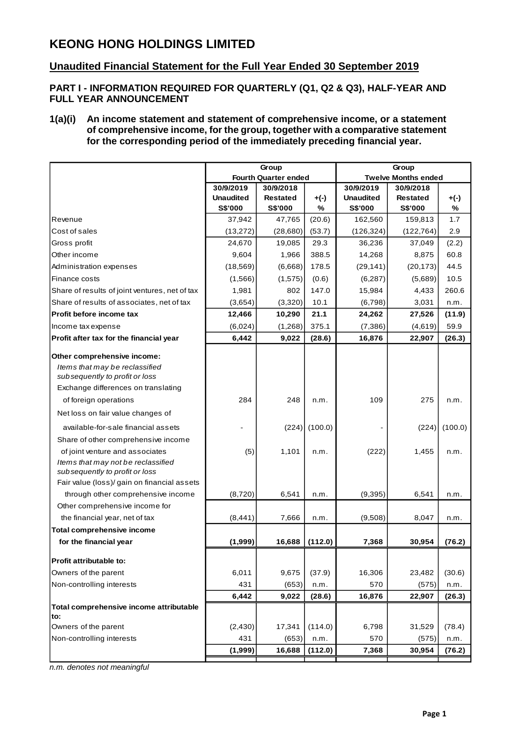# **KEONG HONG HOLDINGS LIMITED**

# **Unaudited Financial Statement for the Full Year Ended 30 September 2019**

### **PART I - INFORMATION REQUIRED FOR QUARTERLY (Q1, Q2 & Q3), HALF-YEAR AND FULL YEAR ANNOUNCEMENT**

#### **1(a)(i) An income statement and statement of comprehensive income, or a statement of comprehensive income, for the group, together with a comparative statement for the corresponding period of the immediately preceding financial year.**

|                                                |                  | Group                       |                 | Group            |                            |         |  |  |
|------------------------------------------------|------------------|-----------------------------|-----------------|------------------|----------------------------|---------|--|--|
|                                                |                  | <b>Fourth Quarter ended</b> |                 |                  | <b>Twelve Months ended</b> |         |  |  |
|                                                | 30/9/2019        | 30/9/2018                   |                 | 30/9/2019        | 30/9/2018                  |         |  |  |
|                                                | <b>Unaudited</b> | <b>Restated</b>             | +(-)            | <b>Unaudited</b> | <b>Restated</b>            | $+(-)$  |  |  |
|                                                | <b>S\$'000</b>   | <b>S\$'000</b>              | %               | <b>S\$'000</b>   | <b>S\$'000</b>             | %       |  |  |
| Revenue                                        | 37,942           | 47,765                      | (20.6)          | 162,560          | 159,813                    | 1.7     |  |  |
| Cost of sales                                  | (13,272)         | (28,680)                    | (53.7)          | (126, 324)       | (122, 764)                 | 2.9     |  |  |
| Gross profit                                   | 24,670           | 19,085                      | 29.3            | 36,236           | 37,049                     | (2.2)   |  |  |
| Other income                                   | 9,604            | 1,966                       | 388.5           | 14,268           | 8,875                      | 60.8    |  |  |
| Administration expenses                        | (18, 569)        | (6,668)                     | 178.5           | (29, 141)        | (20, 173)                  | 44.5    |  |  |
| Finance costs                                  | (1,566)          | (1,575)                     | (0.6)           | (6, 287)         | (5,689)                    | 10.5    |  |  |
| Share of results of joint ventures, net of tax | 1,981            | 802                         | 147.0           | 15,984           | 4,433                      | 260.6   |  |  |
| Share of results of associates, net of tax     | (3,654)          | (3,320)                     | 10.1            | (6,798)          | 3,031                      | n.m.    |  |  |
| Profit before income tax                       | 12,466           | 10,290                      | 21.1            | 24,262           | 27,526                     | (11.9)  |  |  |
| Income tax expense                             | (6,024)          | (1,268)                     | 375.1           | (7,386)          | (4,619)                    | 59.9    |  |  |
| Profit after tax for the financial year        | 6,442            | 9,022                       | (28.6)          | 16,876           | 22,907                     | (26.3)  |  |  |
| Other comprehensive income:                    |                  |                             |                 |                  |                            |         |  |  |
| Items that may be reclassified                 |                  |                             |                 |                  |                            |         |  |  |
| subsequently to profit or loss                 |                  |                             |                 |                  |                            |         |  |  |
| Exchange differences on translating            |                  |                             |                 |                  |                            |         |  |  |
| of foreign operations                          | 284              | 248                         | n.m.            | 109              | 275                        | n.m.    |  |  |
| Net loss on fair value changes of              |                  |                             |                 |                  |                            |         |  |  |
| available-for-sale financial assets            |                  |                             | $(224)$ (100.0) |                  | (224)                      | (100.0) |  |  |
| Share of other comprehensive income            |                  |                             |                 |                  |                            |         |  |  |
| of joint venture and associates                | (5)              | 1,101                       | n.m.            | (222)            | 1,455                      | n.m.    |  |  |
| Items that may not be reclassified             |                  |                             |                 |                  |                            |         |  |  |
| subsequently to profit or loss                 |                  |                             |                 |                  |                            |         |  |  |
| Fair value (loss)/ gain on financial assets    |                  |                             |                 |                  |                            |         |  |  |
| through other comprehensive income             | (8,720)          | 6,541                       | n.m.            | (9, 395)         | 6,541                      | n.m.    |  |  |
| Other comprehensive income for                 |                  |                             |                 |                  |                            |         |  |  |
| the financial year, net of tax                 | (8, 441)         | 7,666                       | n.m.            | (9,508)          | 8,047                      | n.m.    |  |  |
| <b>Total comprehensive income</b>              |                  |                             |                 |                  |                            |         |  |  |
| for the financial year                         | (1,999)          | 16,688                      | (112.0)         | 7,368            | 30,954                     | (76.2)  |  |  |
| Profit attributable to:                        |                  |                             |                 |                  |                            |         |  |  |
| Owners of the parent                           | 6,011            | 9,675                       | (37.9)          | 16,306           | 23,482                     | (30.6)  |  |  |
| Non-controlling interests                      | 431              | (653)                       | n.m.            | 570              | (575)                      | n.m.    |  |  |
|                                                | 6,442            | 9,022                       | (28.6)          | 16,876           | 22,907                     | (26.3)  |  |  |
| Total comprehensive income attributable        |                  |                             |                 |                  |                            |         |  |  |
| to:<br>Owners of the parent                    | (2, 430)         | 17,341                      | (114.0)         | 6,798            | 31,529                     | (78.4)  |  |  |
| Non-controlling interests                      | 431              | (653)                       | n.m.            | 570              | (575)                      | n.m.    |  |  |
|                                                | (1,999)          | 16,688                      | (112.0)         | 7,368            | 30,954                     | (76.2)  |  |  |
|                                                |                  |                             |                 |                  |                            |         |  |  |

*n.m. denotes not meaningful*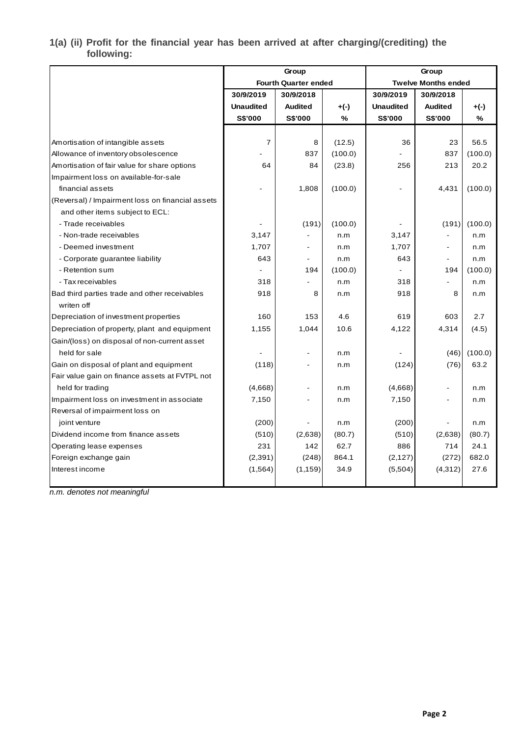### **1(a) (ii) Profit for the financial year has been arrived at after charging/(crediting) the following:**

|                                                  |                  | Group                       |         | Group            |                            |         |  |  |
|--------------------------------------------------|------------------|-----------------------------|---------|------------------|----------------------------|---------|--|--|
|                                                  |                  | <b>Fourth Quarter ended</b> |         |                  | <b>Twelve Months ended</b> |         |  |  |
|                                                  | 30/9/2019        | 30/9/2018                   |         | 30/9/2019        | 30/9/2018                  |         |  |  |
|                                                  | <b>Unaudited</b> | <b>Audited</b>              | $+(-)$  | <b>Unaudited</b> | <b>Audited</b>             | $+(-)$  |  |  |
|                                                  | <b>S\$'000</b>   | S\$'000                     | %       | <b>S\$'000</b>   | <b>S\$'000</b>             | %       |  |  |
|                                                  |                  |                             |         |                  |                            |         |  |  |
| Amortisation of intangible assets                | $\boldsymbol{7}$ | 8                           | (12.5)  | 36               | 23                         | 56.5    |  |  |
| Allowance of inventory obsolescence              |                  | 837                         | (100.0) |                  | 837                        | (100.0) |  |  |
| Amortisation of fair value for share options     | 64               | 84                          | (23.8)  | 256              | 213                        | 20.2    |  |  |
| Impairment loss on available-for-sale            |                  |                             |         |                  |                            |         |  |  |
| financial assets                                 |                  | 1,808                       | (100.0) |                  | 4,431                      | (100.0) |  |  |
| (Reversal) / Impairment loss on financial assets |                  |                             |         |                  |                            |         |  |  |
| and other items subject to ECL:                  |                  |                             |         |                  |                            |         |  |  |
| - Trade receivables                              |                  | (191)                       | (100.0) |                  | (191)                      | (100.0) |  |  |
| - Non-trade receivables                          | 3,147            |                             | n.m     | 3,147            |                            | n.m     |  |  |
| - Deemed investment                              | 1,707            |                             | n.m     | 1,707            | $\blacksquare$             | n.m     |  |  |
| - Corporate guarantee liability                  | 643              | $\blacksquare$              | n.m     | 643              | $\blacksquare$             | n.m     |  |  |
| - Retention sum                                  |                  | 194                         | (100.0) |                  | 194                        | (100.0) |  |  |
| - Tax receivables                                | 318              |                             | n.m     | 318              | $\blacksquare$             | n.m     |  |  |
| Bad third parties trade and other receivables    | 918              | 8                           | n.m     | 918              | 8                          | n.m     |  |  |
| writen off                                       |                  |                             |         |                  |                            |         |  |  |
| Depreciation of investment properties            | 160              | 153                         | 4.6     | 619              | 603                        | 2.7     |  |  |
| Depreciation of property, plant and equipment    | 1,155            | 1,044                       | 10.6    | 4,122            | 4,314                      | (4.5)   |  |  |
| Gain/(loss) on disposal of non-current asset     |                  |                             |         |                  |                            |         |  |  |
| held for sale                                    |                  |                             | n.m     |                  | (46)                       | (100.0) |  |  |
| Gain on disposal of plant and equipment          | (118)            |                             | n.m     | (124)            | (76)                       | 63.2    |  |  |
| Fair value gain on finance assets at FVTPL not   |                  |                             |         |                  |                            |         |  |  |
| held for trading                                 | (4,668)          |                             | n.m     | (4,668)          | $\blacksquare$             | n.m     |  |  |
| Impairment loss on investment in associate       | 7,150            |                             | n.m     | 7,150            | $\blacksquare$             | n.m     |  |  |
| Reversal of impairment loss on                   |                  |                             |         |                  |                            |         |  |  |
| joint venture                                    | (200)            |                             | n.m     | (200)            |                            | n.m     |  |  |
| Dividend income from finance assets              | (510)            | (2,638)                     | (80.7)  | (510)            | (2,638)                    | (80.7)  |  |  |
| Operating lease expenses                         | 231              | 142                         | 62.7    | 886              | 714                        | 24.1    |  |  |
| Foreign exchange gain                            | (2, 391)         | (248)                       | 864.1   | (2, 127)         | (272)                      | 682.0   |  |  |
| Interest income                                  | (1, 564)         | (1, 159)                    | 34.9    | (5,504)          | (4, 312)                   | 27.6    |  |  |
|                                                  |                  |                             |         |                  |                            |         |  |  |

*n.m. denotes not meaningful*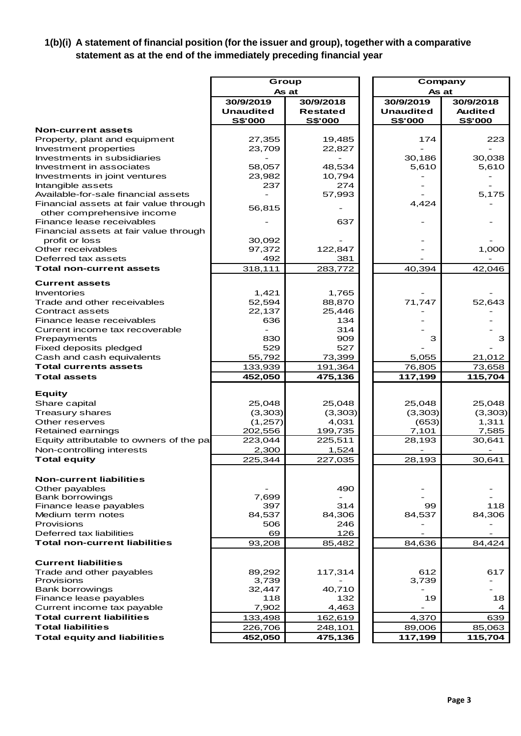# **1(b)(i) A statement of financial position (for the issuer and group), together with a comparative statement as at the end of the immediately preceding financial year**

|                                                         | Group            |                 | Company          |                 |  |  |  |
|---------------------------------------------------------|------------------|-----------------|------------------|-----------------|--|--|--|
|                                                         | As at            |                 |                  | As at           |  |  |  |
|                                                         | 30/9/2019        | 30/9/2018       | 30/9/2019        | 30/9/2018       |  |  |  |
|                                                         | <b>Unaudited</b> | Restated        | <b>Unaudited</b> | <b>Audited</b>  |  |  |  |
|                                                         | <u>S\$'000</u>   | <b>S\$'000</b>  | <u>S\$'000</u>   | <b>S\$'000</b>  |  |  |  |
| <b>Non-current assets</b>                               |                  |                 |                  |                 |  |  |  |
| Property, plant and equipment                           | 27,355           | 19,485          | 174              | 223             |  |  |  |
| Investment properties                                   | 23,709           | 22,827          |                  |                 |  |  |  |
| Investments in subsidiaries<br>Investment in associates | 58,057           | 48,534          | 30,186<br>5,610  | 30,038<br>5,610 |  |  |  |
| Investments in joint ventures                           | 23,982           | 10,794          |                  |                 |  |  |  |
| Intangible assets                                       | 237              | 274             |                  |                 |  |  |  |
| Available-for-sale financial assets                     |                  | 57,993          |                  | 5,175           |  |  |  |
| Financial assets at fair value through                  | 56,815           |                 | 4,424            |                 |  |  |  |
| other comprehensive income                              |                  |                 |                  |                 |  |  |  |
| Finance lease receivables                               |                  | 637             |                  |                 |  |  |  |
| Financial assets at fair value through                  |                  |                 |                  |                 |  |  |  |
| profit or loss<br>Other receivables                     | 30,092           | 122,847         |                  |                 |  |  |  |
| Deferred tax assets                                     | 97,372<br>492    | 381             |                  | 1,000           |  |  |  |
| <b>Total non-current assets</b>                         | 318,111          | 283,772         | 40,394           | 42,046          |  |  |  |
|                                                         |                  |                 |                  |                 |  |  |  |
| <b>Current assets</b>                                   |                  |                 |                  |                 |  |  |  |
| <b>Inventories</b><br>Trade and other receivables       | 1,421<br>52,594  | 1,765<br>88,870 | 71,747           | 52,643          |  |  |  |
| Contract assets                                         | 22,137           | 25,446          |                  |                 |  |  |  |
| Finance lease receivables                               | 636              | 134             |                  |                 |  |  |  |
| Current income tax recoverable                          |                  | 314             |                  |                 |  |  |  |
| Prepayments                                             | 830              | 909             | з                | З               |  |  |  |
| Fixed deposits pledged                                  | 529              | 527             |                  |                 |  |  |  |
| Cash and cash equivalents                               | 55,792           | 73,399          | 5,055            | 21,012          |  |  |  |
| <b>Total currents assets</b>                            | 133,939          | 191,364         | 76,805           | 73,658          |  |  |  |
| <b>Total assets</b>                                     | 452,050          | 475,136         | 117,199          | 115,704         |  |  |  |
| <b>Equity</b>                                           |                  |                 |                  |                 |  |  |  |
| Share capital                                           | 25,048           | 25,048          | 25,048           | 25,048          |  |  |  |
| <b>Treasury shares</b>                                  | (3,303)          | (3,303)         | (3,303)          | (3,303)         |  |  |  |
| Other reserves                                          | (1,257)          | 4,031           | (653)            | 1,311           |  |  |  |
| Retained earnings                                       | 202,556          | 199,735         | 7,101            | 7,585           |  |  |  |
| Equity attributable to owners of the pal                | 223,044          | 225,511         | 28,193           | 30,641          |  |  |  |
| Non-controlling interests                               | 2,300            | 1,524           |                  |                 |  |  |  |
| <b>Total equity</b>                                     | 225,344          | 227,035         | 28,193           | 30,641          |  |  |  |
| <b>Non-current liabilities</b>                          |                  |                 |                  |                 |  |  |  |
| Other payables                                          |                  | 490             |                  |                 |  |  |  |
| <b>Bank borrowings</b>                                  | 7,699            |                 |                  |                 |  |  |  |
| Finance lease payables                                  | 397              | 314             | 99               | 118             |  |  |  |
| Medium term notes                                       | 84,537           | 84,306          | 84,537           | 84,306          |  |  |  |
| Provisions<br>Deferred tax liabilities                  | 506<br>69        | 246<br>126      |                  |                 |  |  |  |
| Total non-current liabilities                           | 93,208           | 85,482          | 84,636           | 84,424          |  |  |  |
|                                                         |                  |                 |                  |                 |  |  |  |
| <b>Current liabilities</b>                              |                  |                 |                  |                 |  |  |  |
| Trade and other payables                                | 89,292           | 117,314         | 612              | 617             |  |  |  |
| Provisions                                              | 3,739            |                 | 3,739            |                 |  |  |  |
| <b>Bank borrowings</b><br>Finance lease payables        | 32,447<br>118    | 40,710<br>132   | 19               | 18              |  |  |  |
| Current income tax payable                              | 7,902            | 4,463           |                  | 4               |  |  |  |
| <b>Total current liabilities</b>                        | 133,498          | 162,619         | 4,370            | 639             |  |  |  |
| <b>Total liabilities</b>                                | 226,706          | 248,101         | 89,006           | 85,063          |  |  |  |
| <b>Total equity and liabilities</b>                     | 452,050          | 475,136         | 117,199          | 115,704         |  |  |  |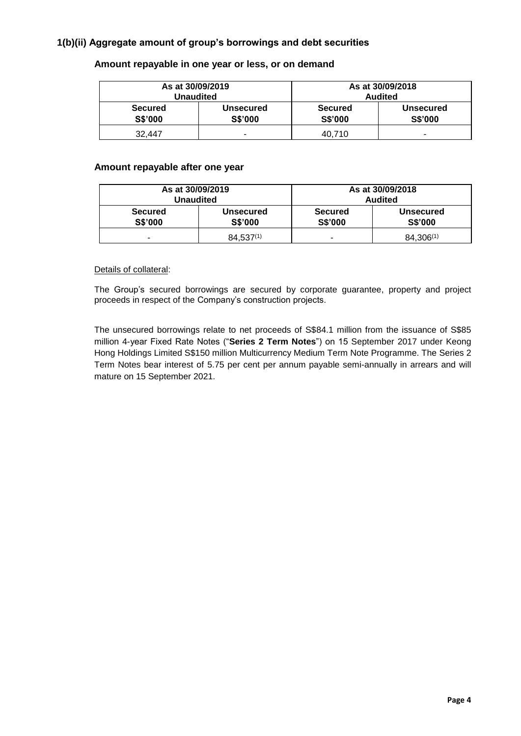# **1(b)(ii) Aggregate amount of group's borrowings and debt securities**

|                                  | As at 30/09/2019<br>Unaudited | As at 30/09/2018<br><b>Audited</b> |                             |  |  |  |
|----------------------------------|-------------------------------|------------------------------------|-----------------------------|--|--|--|
| <b>Secured</b><br><b>S\$'000</b> | <b>Unsecured</b><br>S\$'000   | <b>Secured</b><br>S\$'000          | <b>Unsecured</b><br>S\$'000 |  |  |  |
| 32.447                           | -                             | 40.710                             |                             |  |  |  |

#### **Amount repayable in one year or less, or on demand**

#### **Amount repayable after one year**

| As at 30/09/2019<br><b>Unaudited</b> |                             | As at 30/09/2018<br><b>Audited</b> |                             |  |  |  |
|--------------------------------------|-----------------------------|------------------------------------|-----------------------------|--|--|--|
| <b>Secured</b><br><b>S\$'000</b>     | <b>Unsecured</b><br>S\$'000 | <b>Secured</b><br>S\$'000          | <b>Unsecured</b><br>S\$'000 |  |  |  |
| ۰                                    | $84,537^{(1)}$              |                                    | $84,306^{(1)}$              |  |  |  |

#### Details of collateral:

The Group's secured borrowings are secured by corporate guarantee, property and project proceeds in respect of the Company's construction projects.

The unsecured borrowings relate to net proceeds of S\$84.1 million from the issuance of S\$85 million 4-year Fixed Rate Notes ("**Series 2 Term Notes**") on 15 September 2017 under Keong Hong Holdings Limited S\$150 million Multicurrency Medium Term Note Programme. The Series 2 Term Notes bear interest of 5.75 per cent per annum payable semi-annually in arrears and will mature on 15 September 2021.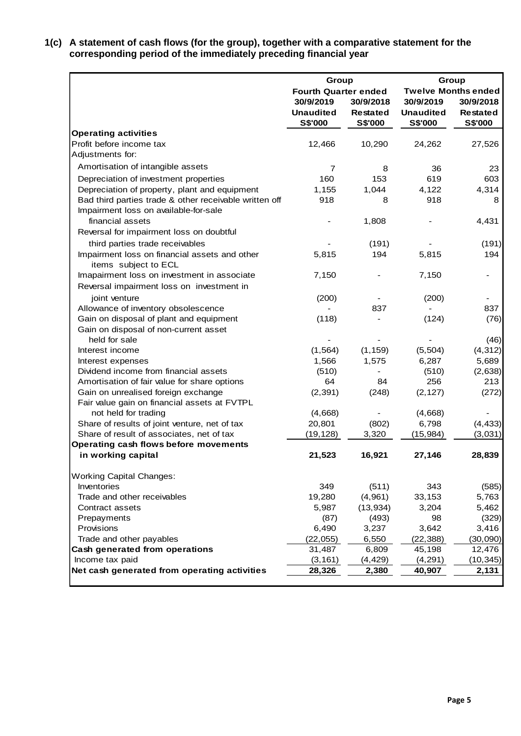**1(c) A statement of cash flows (for the group), together with a comparative statement for the corresponding period of the immediately preceding financial year**

|                                                        | Group                       |                 | Group            |                            |  |  |
|--------------------------------------------------------|-----------------------------|-----------------|------------------|----------------------------|--|--|
|                                                        | <b>Fourth Quarter ended</b> |                 |                  | <b>Twelve Months ended</b> |  |  |
|                                                        | 30/9/2019                   | 30/9/2018       | 30/9/2019        | 30/9/2018                  |  |  |
|                                                        | <b>Unaudited</b>            | <b>Restated</b> | <b>Unaudited</b> | <b>Restated</b>            |  |  |
|                                                        | S\$'000                     | <b>S\$'000</b>  | <b>S\$'000</b>   | S\$'000                    |  |  |
| <b>Operating activities</b>                            |                             |                 |                  |                            |  |  |
| Profit before income tax                               | 12,466                      | 10,290          | 24,262           | 27,526                     |  |  |
| Adjustments for:                                       |                             |                 |                  |                            |  |  |
| Amortisation of intangible assets                      | 7                           | 8               | 36               | 23                         |  |  |
| Depreciation of investment properties                  | 160                         | 153             | 619              | 603                        |  |  |
| Depreciation of property, plant and equipment          | 1,155                       | 1,044           | 4,122            | 4,314                      |  |  |
| Bad third parties trade & other receivable written off | 918                         | 8               | 918              | 8                          |  |  |
| Impairment loss on available-for-sale                  |                             |                 |                  |                            |  |  |
| financial assets                                       |                             | 1,808           |                  | 4,431                      |  |  |
| Reversal for impairment loss on doubtful               |                             |                 |                  |                            |  |  |
| third parties trade receivables                        |                             | (191)           |                  | (191)                      |  |  |
| Impairment loss on financial assets and other          | 5,815                       | 194             | 5,815            | 194                        |  |  |
| items subject to ECL                                   |                             |                 |                  |                            |  |  |
| Imapairment loss on investment in associate            | 7,150                       |                 | 7,150            |                            |  |  |
| Reversal impairment loss on investment in              |                             |                 |                  |                            |  |  |
| joint venture                                          | (200)                       |                 | (200)            |                            |  |  |
| Allowance of inventory obsolescence                    |                             | 837             |                  | 837                        |  |  |
| Gain on disposal of plant and equipment                | (118)                       |                 | (124)            | (76)                       |  |  |
| Gain on disposal of non-current asset                  |                             |                 |                  |                            |  |  |
| held for sale                                          |                             |                 |                  | (46)                       |  |  |
| Interest income                                        | (1, 564)                    | (1, 159)        | (5, 504)         | (4, 312)                   |  |  |
| Interest expenses                                      | 1,566                       | 1,575           | 6,287            | 5,689                      |  |  |
| Dividend income from financial assets                  | (510)                       |                 | (510)            | (2,638)                    |  |  |
| Amortisation of fair value for share options           | 64                          | 84              | 256              | 213                        |  |  |
| Gain on unrealised foreign exchange                    | (2, 391)                    | (248)           | (2, 127)         | (272)                      |  |  |
| Fair value gain on financial assets at FVTPL           |                             |                 |                  |                            |  |  |
| not held for trading                                   | (4,668)                     |                 | (4,668)          |                            |  |  |
| Share of results of joint venture, net of tax          | 20,801                      | (802)           | 6,798            | (4, 433)                   |  |  |
| Share of result of associates, net of tax              | (19, 128)                   | 3,320           | (15, 984)        | (3,031)                    |  |  |
| Operating cash flows before movements                  |                             |                 |                  |                            |  |  |
| in working capital                                     | 21,523                      | 16,921          | 27,146           | 28,839                     |  |  |
| <b>Working Capital Changes:</b>                        |                             |                 |                  |                            |  |  |
| Inventories                                            | 349                         | (511)           | 343              | (585)                      |  |  |
| Trade and other receivables                            | 19,280                      | (4,961)         | 33,153           | 5,763                      |  |  |
| Contract assets                                        | 5,987                       | (13, 934)       | 3,204            | 5,462                      |  |  |
| Prepayments                                            | (87)                        | (493)           | 98               | (329)                      |  |  |
| Provisions                                             | 6,490                       | 3,237           | 3,642            | 3,416                      |  |  |
| Trade and other payables                               | (22, 055)                   | 6,550           | (22, 388)        | (30,090)                   |  |  |
| Cash generated from operations                         | 31,487                      | 6,809           | 45,198           | 12,476                     |  |  |
| Income tax paid                                        | (3, 161)                    | (4, 429)        | (4, 291)         | (10, 345)                  |  |  |
| Net cash generated from operating activities           | 28,326                      | 2,380           | 40,907           | 2,131                      |  |  |
|                                                        |                             |                 |                  |                            |  |  |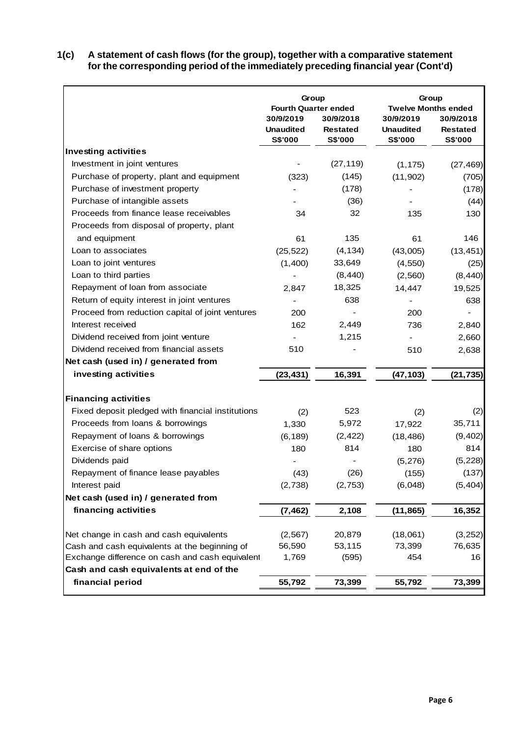### **1(c) A statement of cash flows (for the group), together with a comparative statement for the corresponding period of the immediately preceding financial year (Cont'd)**

|                                                   | Group<br><b>Fourth Quarter ended</b>     |                                                | Group<br><b>Twelve Months ended</b>      |                                                |  |  |
|---------------------------------------------------|------------------------------------------|------------------------------------------------|------------------------------------------|------------------------------------------------|--|--|
|                                                   | 30/9/2019<br><b>Unaudited</b><br>S\$'000 | 30/9/2018<br><b>Restated</b><br><b>S\$'000</b> | 30/9/2019<br><b>Unaudited</b><br>S\$'000 | 30/9/2018<br><b>Restated</b><br><b>S\$'000</b> |  |  |
| Investing activities                              |                                          |                                                |                                          |                                                |  |  |
| Investment in joint ventures                      |                                          | (27, 119)                                      | (1, 175)                                 | (27, 469)                                      |  |  |
| Purchase of property, plant and equipment         | (323)                                    | (145)                                          | (11, 902)                                | (705)                                          |  |  |
| Purchase of investment property                   |                                          | (178)                                          |                                          | (178)                                          |  |  |
| Purchase of intangible assets                     |                                          | (36)                                           |                                          | (44)                                           |  |  |
| Proceeds from finance lease receivables           | 34                                       | 32                                             | 135                                      | 130                                            |  |  |
| Proceeds from disposal of property, plant         |                                          |                                                |                                          |                                                |  |  |
| and equipment                                     | 61                                       | 135                                            | 61                                       | 146                                            |  |  |
| Loan to associates                                | (25, 522)                                | (4, 134)                                       | (43,005)                                 | (13, 451)                                      |  |  |
| Loan to joint ventures                            | (1,400)                                  | 33,649                                         | (4, 550)                                 | (25)                                           |  |  |
| Loan to third parties                             |                                          | (8, 440)                                       | (2,560)                                  | (8, 440)                                       |  |  |
| Repayment of loan from associate                  | 2,847                                    | 18,325                                         | 14,447                                   | 19,525                                         |  |  |
| Return of equity interest in joint ventures       |                                          | 638                                            |                                          | 638                                            |  |  |
| Proceed from reduction capital of joint ventures  | 200                                      |                                                | 200                                      |                                                |  |  |
| Interest received                                 | 162                                      | 2,449                                          | 736                                      | 2,840                                          |  |  |
| Dividend received from joint venture              |                                          | 1,215                                          |                                          | 2,660                                          |  |  |
| Dividend received from financial assets           | 510                                      |                                                | 510                                      | 2,638                                          |  |  |
| Net cash (used in) / generated from               |                                          |                                                |                                          |                                                |  |  |
| investing activities                              | (23, 431)                                | 16,391                                         | (47, 103)                                | (21, 735)                                      |  |  |
| <b>Financing activities</b>                       |                                          |                                                |                                          |                                                |  |  |
| Fixed deposit pledged with financial institutions | (2)                                      | 523                                            | (2)                                      | (2)                                            |  |  |
| Proceeds from loans & borrowings                  | 1,330                                    | 5,972                                          | 17,922                                   | 35,711                                         |  |  |
| Repayment of loans & borrowings                   | (6, 189)                                 | (2, 422)                                       | (18, 486)                                | (9, 402)                                       |  |  |
| Exercise of share options                         | 180                                      | 814                                            | 180                                      | 814                                            |  |  |
| Dividends paid                                    |                                          |                                                | (5, 276)                                 | (5, 228)                                       |  |  |
| Repayment of finance lease payables               | (43)                                     | (26)                                           | (155)                                    | (137)                                          |  |  |
| Interest paid                                     | (2,738)                                  | (2, 753)                                       | (6,048)                                  | (5, 404)                                       |  |  |
| Net cash (used in) / generated from               |                                          |                                                |                                          |                                                |  |  |
| financing activities                              | (7, 462)                                 | 2,108                                          | (11, 865)                                | 16,352                                         |  |  |
| Net change in cash and cash equivalents           | (2, 567)                                 | 20,879                                         | (18,061)                                 | (3, 252)                                       |  |  |
| Cash and cash equivalents at the beginning of     | 56,590                                   | 53,115                                         | 73,399                                   | 76,635                                         |  |  |
| Exchange difference on cash and cash equivalent   | 1,769                                    | (595)                                          | 454                                      | 16                                             |  |  |
| Cash and cash equivalents at end of the           |                                          |                                                |                                          |                                                |  |  |
| financial period                                  | 55,792                                   | 73,399                                         | 55,792                                   | 73,399                                         |  |  |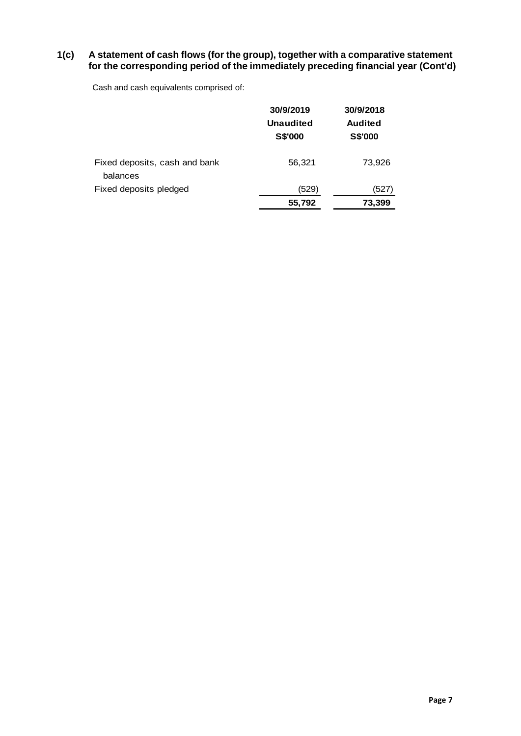### **1(c) A statement of cash flows (for the group), together with a comparative statement for the corresponding period of the immediately preceding financial year (Cont'd)**

Cash and cash equivalents comprised of:

|                                           | 30/9/2019<br>Unaudited<br><b>S\$'000</b> | 30/9/2018<br><b>Audited</b><br><b>S\$'000</b> |
|-------------------------------------------|------------------------------------------|-----------------------------------------------|
| Fixed deposits, cash and bank<br>balances | 56,321                                   | 73,926                                        |
| Fixed deposits pledged                    | (529)                                    | (527)                                         |
|                                           | 55,792                                   | 73,399                                        |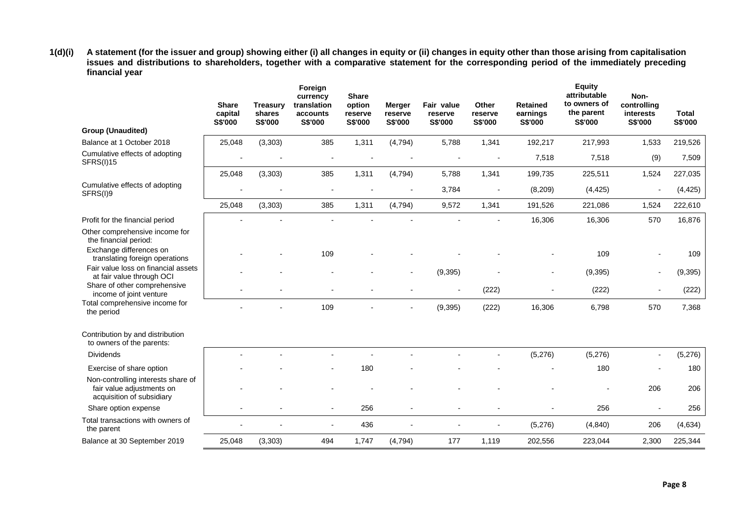**1(d)(i) A statement (for the issuer and group) showing either (i) all changes in equity or (ii) changes in equity other than those arising from capitalisation issues and distributions to shareholders, together with a comparative statement for the corresponding period of the immediately preceding financial year**

|                                                                                              | <b>Share</b><br>capital<br>S\$'000 | <b>Treasury</b><br>shares<br>S\$'000 | Foreign<br>currency<br>translation<br>accounts<br>S\$'000 | <b>Share</b><br>option<br>reserve<br>S\$'000 | <b>Merger</b><br>reserve<br><b>S\$'000</b> | Fair value<br>reserve<br>S\$'000 | Other<br>reserve<br>S\$'000 | <b>Retained</b><br>earnings<br><b>S\$'000</b> | <b>Equity</b><br>attributable<br>to owners of<br>the parent<br>S\$'000 | Non-<br>controlling<br>interests<br>S\$'000 | <b>Total</b><br>S\$'000 |
|----------------------------------------------------------------------------------------------|------------------------------------|--------------------------------------|-----------------------------------------------------------|----------------------------------------------|--------------------------------------------|----------------------------------|-----------------------------|-----------------------------------------------|------------------------------------------------------------------------|---------------------------------------------|-------------------------|
| <b>Group (Unaudited)</b>                                                                     |                                    |                                      |                                                           |                                              |                                            |                                  |                             |                                               |                                                                        |                                             |                         |
| Balance at 1 October 2018                                                                    | 25,048                             | (3, 303)                             | 385                                                       | 1,311                                        | (4, 794)                                   | 5,788                            | 1,341                       | 192,217                                       | 217,993                                                                | 1,533                                       | 219,526                 |
| Cumulative effects of adopting<br><b>SFRS(I)15</b>                                           |                                    |                                      |                                                           |                                              |                                            |                                  |                             | 7,518                                         | 7,518                                                                  | (9)                                         | 7,509                   |
|                                                                                              | 25,048                             | (3, 303)                             | 385                                                       | 1,311                                        | (4, 794)                                   | 5,788                            | 1,341                       | 199,735                                       | 225,511                                                                | 1,524                                       | 227,035                 |
| Cumulative effects of adopting<br>SFRS(I)9                                                   |                                    |                                      |                                                           |                                              |                                            | 3,784                            | ÷,                          | (8,209)                                       | (4, 425)                                                               |                                             | (4, 425)                |
|                                                                                              | 25,048                             | (3, 303)                             | 385                                                       | 1,311                                        | (4, 794)                                   | 9,572                            | 1,341                       | 191,526                                       | 221,086                                                                | 1,524                                       | 222,610                 |
| Profit for the financial period                                                              |                                    |                                      |                                                           |                                              |                                            |                                  |                             | 16,306                                        | 16,306                                                                 | 570                                         | 16,876                  |
| Other comprehensive income for<br>the financial period:                                      |                                    |                                      |                                                           |                                              |                                            |                                  |                             |                                               |                                                                        |                                             |                         |
| Exchange differences on<br>translating foreign operations                                    |                                    |                                      | 109                                                       |                                              |                                            |                                  |                             |                                               | 109                                                                    |                                             | 109                     |
| Fair value loss on financial assets<br>at fair value through OCI                             |                                    |                                      |                                                           |                                              |                                            | (9, 395)                         |                             |                                               | (9, 395)                                                               |                                             | (9, 395)                |
| Share of other comprehensive<br>income of joint venture                                      |                                    |                                      |                                                           |                                              |                                            |                                  | (222)                       |                                               | (222)                                                                  |                                             | (222)                   |
| Total comprehensive income for<br>the period                                                 |                                    |                                      | 109                                                       |                                              |                                            | (9, 395)                         | (222)                       | 16,306                                        | 6,798                                                                  | 570                                         | 7,368                   |
| Contribution by and distribution<br>to owners of the parents:                                |                                    |                                      |                                                           |                                              |                                            |                                  |                             |                                               |                                                                        |                                             |                         |
| <b>Dividends</b>                                                                             |                                    |                                      |                                                           |                                              |                                            |                                  |                             | (5,276)                                       | (5,276)                                                                |                                             | (5,276)                 |
| Exercise of share option                                                                     |                                    |                                      |                                                           | 180                                          |                                            |                                  |                             |                                               | 180                                                                    |                                             | 180                     |
| Non-controlling interests share of<br>fair value adjustments on<br>acquisition of subsidiary |                                    |                                      |                                                           |                                              |                                            |                                  |                             |                                               |                                                                        | 206                                         | 206                     |
| Share option expense                                                                         |                                    |                                      | $\overline{\phantom{a}}$                                  | 256                                          |                                            |                                  | $\overline{a}$              |                                               | 256                                                                    |                                             | 256                     |
| Total transactions with owners of<br>the parent                                              |                                    |                                      |                                                           | 436                                          |                                            |                                  |                             | (5,276)                                       | (4, 840)                                                               | 206                                         | (4,634)                 |
| Balance at 30 September 2019                                                                 | 25,048                             | (3, 303)                             | 494                                                       | 1,747                                        | (4, 794)                                   | 177                              | 1,119                       | 202,556                                       | 223,044                                                                | 2,300                                       | 225,344                 |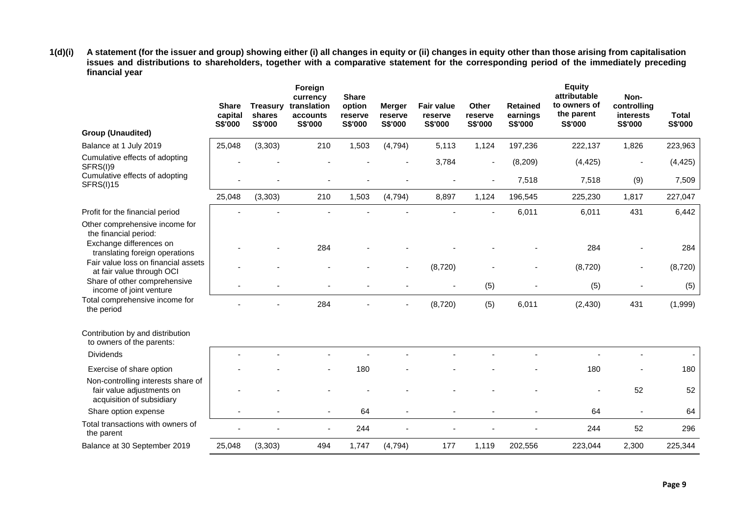**1(d)(i) A statement (for the issuer and group) showing either (i) all changes in equity or (ii) changes in equity other than those arising from capitalisation issues and distributions to shareholders, together with a comparative statement for the corresponding period of the immediately preceding financial year**

|                                                                                              | <b>Share</b><br>capital<br>S\$'000 | <b>Treasury</b><br>shares<br>S\$'000 | Foreign<br>currency<br>translation<br>accounts<br>S\$'000 | <b>Share</b><br>option<br>reserve<br>S\$'000 | <b>Merger</b><br>reserve<br>S\$'000 | <b>Fair value</b><br>reserve<br>S\$'000 | Other<br>reserve<br>S\$'000 | <b>Retained</b><br>earnings<br>S\$'000 | <b>Equity</b><br>attributable<br>to owners of<br>the parent<br>S\$'000 | Non-<br>controlling<br><b>interests</b><br>S\$'000 | <b>Total</b><br>S\$'000 |
|----------------------------------------------------------------------------------------------|------------------------------------|--------------------------------------|-----------------------------------------------------------|----------------------------------------------|-------------------------------------|-----------------------------------------|-----------------------------|----------------------------------------|------------------------------------------------------------------------|----------------------------------------------------|-------------------------|
| <b>Group (Unaudited)</b>                                                                     |                                    |                                      |                                                           |                                              |                                     |                                         |                             |                                        |                                                                        |                                                    |                         |
| Balance at 1 July 2019                                                                       | 25,048                             | (3, 303)                             | 210                                                       | 1,503                                        | (4, 794)                            | 5,113                                   | 1,124                       | 197,236                                | 222,137                                                                | 1,826                                              | 223,963                 |
| Cumulative effects of adopting<br>SFRS(I)9                                                   |                                    |                                      |                                                           |                                              |                                     | 3,784                                   | $\overline{\phantom{a}}$    | (8, 209)                               | (4, 425)                                                               |                                                    | (4, 425)                |
| Cumulative effects of adopting<br><b>SFRS(I)15</b>                                           |                                    |                                      |                                                           |                                              |                                     |                                         |                             | 7,518                                  | 7,518                                                                  | (9)                                                | 7,509                   |
|                                                                                              | 25,048                             | (3, 303)                             | 210                                                       | 1,503                                        | (4, 794)                            | 8,897                                   | 1,124                       | 196,545                                | 225,230                                                                | 1,817                                              | 227,047                 |
| Profit for the financial period                                                              |                                    |                                      |                                                           |                                              |                                     |                                         |                             | 6,011                                  | 6,011                                                                  | 431                                                | 6,442                   |
| Other comprehensive income for<br>the financial period:                                      |                                    |                                      |                                                           |                                              |                                     |                                         |                             |                                        |                                                                        |                                                    |                         |
| Exchange differences on<br>translating foreign operations                                    |                                    |                                      | 284                                                       |                                              |                                     |                                         |                             |                                        | 284                                                                    |                                                    | 284                     |
| Fair value loss on financial assets<br>at fair value through OCI                             |                                    |                                      |                                                           |                                              |                                     | (8,720)                                 |                             |                                        | (8,720)                                                                |                                                    | (8,720)                 |
| Share of other comprehensive<br>income of joint venture                                      |                                    |                                      |                                                           |                                              |                                     |                                         | (5)                         |                                        | (5)                                                                    |                                                    | (5)                     |
| Total comprehensive income for<br>the period                                                 |                                    |                                      | 284                                                       |                                              |                                     | (8,720)                                 | (5)                         | 6,011                                  | (2, 430)                                                               | 431                                                | (1,999)                 |
| Contribution by and distribution<br>to owners of the parents:                                |                                    |                                      |                                                           |                                              |                                     |                                         |                             |                                        |                                                                        |                                                    |                         |
| <b>Dividends</b>                                                                             |                                    |                                      |                                                           |                                              |                                     |                                         |                             |                                        |                                                                        |                                                    |                         |
| Exercise of share option                                                                     |                                    |                                      |                                                           | 180                                          |                                     |                                         |                             |                                        | 180                                                                    |                                                    | 180                     |
| Non-controlling interests share of<br>fair value adjustments on<br>acquisition of subsidiary |                                    |                                      |                                                           |                                              |                                     |                                         |                             |                                        |                                                                        | 52                                                 | 52                      |
| Share option expense                                                                         |                                    |                                      | ٠                                                         | 64                                           |                                     |                                         |                             |                                        | 64                                                                     | $\blacksquare$                                     | 64                      |
| Total transactions with owners of<br>the parent                                              |                                    |                                      |                                                           | 244                                          |                                     |                                         |                             |                                        | 244                                                                    | 52                                                 | 296                     |
| Balance at 30 September 2019                                                                 | 25,048                             | (3, 303)                             | 494                                                       | 1,747                                        | (4, 794)                            | 177                                     | 1,119                       | 202,556                                | 223,044                                                                | 2,300                                              | 225,344                 |
|                                                                                              |                                    |                                      |                                                           |                                              |                                     |                                         |                             |                                        |                                                                        |                                                    |                         |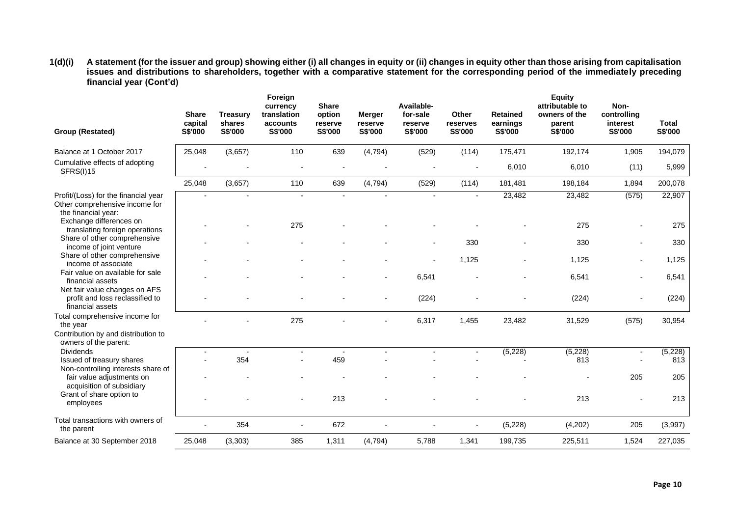**1(d)(i) A statement (for the issuer and group) showing either (i) all changes in equity or (ii) changes in equity other than those arising from capitalisation issues and distributions to shareholders, together with a comparative statement for the corresponding period of the immediately preceding financial year (Cont'd)**

| 25,048<br>(3,657)<br>110<br>639<br>(4, 794)<br>(529)<br>(114)<br>175,471<br>192,174<br>1,905<br>194,079<br>Balance at 1 October 2017<br>Cumulative effects of adopting<br>6,010<br>6,010<br>(11)<br>5,999<br><b>SFRS(I)15</b><br>25,048<br>(3,657)<br>110<br>639<br>(4, 794)<br>(529)<br>(114)<br>181,481<br>198,184<br>1,894<br>200,078<br>23,482<br>(575)<br>22,907<br>23,482<br>Profit/(Loss) for the financial year<br>$\overline{a}$<br>Other comprehensive income for<br>the financial year:<br>Exchange differences on<br>275<br>275<br>275<br>translating foreign operations<br>Share of other comprehensive<br>330<br>330<br>330<br>income of joint venture<br>Share of other comprehensive<br>1.125<br>1.125<br>1,125<br>income of associate<br>Fair value on available for sale<br>6,541<br>6,541<br>6,541<br>financial assets<br>Net fair value changes on AFS<br>(224)<br>(224)<br>(224)<br>profit and loss reclassified to<br>financial assets<br>Total comprehensive income for<br>275<br>6,317<br>1,455<br>23,482<br>31,529<br>(575)<br>30,954<br>the year<br>Contribution by and distribution to<br>owners of the parent:<br>(5,228)<br>(5, 228)<br><b>Dividends</b><br>(5,228)<br>$\sim$<br>$\overline{a}$<br>$\blacksquare$<br>$\blacksquare$<br>354<br>459<br>813<br>813<br>Issued of treasury shares<br>Non-controlling interests share of<br>205<br>205<br>fair value adjustments on<br>acquisition of subsidiary<br>Grant of share option to<br>213<br>213<br>213<br>employees<br>Total transactions with owners of<br>354<br>672<br>(5,228)<br>(4,202)<br>(3,997)<br>205<br>the parent<br>Balance at 30 September 2018<br>25,048<br>(3, 303)<br>385<br>1,311<br>(4, 794)<br>5,788<br>1,341<br>199,735<br>225,511<br>1,524<br>227,035 | <b>Group (Restated)</b> | <b>Share</b><br>capital<br>S\$'000 | <b>Treasury</b><br>shares<br>S\$'000 | Foreign<br>currency<br>translation<br>accounts<br>S\$'000 | <b>Share</b><br>option<br>reserve<br>S\$'000 | Merger<br>reserve<br>S\$'000 | Available-<br>for-sale<br>reserve<br>S\$'000 | Other<br>reserves<br>S\$'000 | <b>Retained</b><br>earnings<br>S\$'000 | <b>Equity</b><br>attributable to<br>owners of the<br>parent<br>S\$'000 | Non-<br>controlling<br>interest<br>S\$'000 | Total<br>S\$'000 |
|--------------------------------------------------------------------------------------------------------------------------------------------------------------------------------------------------------------------------------------------------------------------------------------------------------------------------------------------------------------------------------------------------------------------------------------------------------------------------------------------------------------------------------------------------------------------------------------------------------------------------------------------------------------------------------------------------------------------------------------------------------------------------------------------------------------------------------------------------------------------------------------------------------------------------------------------------------------------------------------------------------------------------------------------------------------------------------------------------------------------------------------------------------------------------------------------------------------------------------------------------------------------------------------------------------------------------------------------------------------------------------------------------------------------------------------------------------------------------------------------------------------------------------------------------------------------------------------------------------------------------------------------------------------------------------------------------------------------------------------------------------------|-------------------------|------------------------------------|--------------------------------------|-----------------------------------------------------------|----------------------------------------------|------------------------------|----------------------------------------------|------------------------------|----------------------------------------|------------------------------------------------------------------------|--------------------------------------------|------------------|
|                                                                                                                                                                                                                                                                                                                                                                                                                                                                                                                                                                                                                                                                                                                                                                                                                                                                                                                                                                                                                                                                                                                                                                                                                                                                                                                                                                                                                                                                                                                                                                                                                                                                                                                                                              |                         |                                    |                                      |                                                           |                                              |                              |                                              |                              |                                        |                                                                        |                                            |                  |
|                                                                                                                                                                                                                                                                                                                                                                                                                                                                                                                                                                                                                                                                                                                                                                                                                                                                                                                                                                                                                                                                                                                                                                                                                                                                                                                                                                                                                                                                                                                                                                                                                                                                                                                                                              |                         |                                    |                                      |                                                           |                                              |                              |                                              |                              |                                        |                                                                        |                                            |                  |
|                                                                                                                                                                                                                                                                                                                                                                                                                                                                                                                                                                                                                                                                                                                                                                                                                                                                                                                                                                                                                                                                                                                                                                                                                                                                                                                                                                                                                                                                                                                                                                                                                                                                                                                                                              |                         |                                    |                                      |                                                           |                                              |                              |                                              |                              |                                        |                                                                        |                                            |                  |
|                                                                                                                                                                                                                                                                                                                                                                                                                                                                                                                                                                                                                                                                                                                                                                                                                                                                                                                                                                                                                                                                                                                                                                                                                                                                                                                                                                                                                                                                                                                                                                                                                                                                                                                                                              |                         |                                    |                                      |                                                           |                                              |                              |                                              |                              |                                        |                                                                        |                                            |                  |
|                                                                                                                                                                                                                                                                                                                                                                                                                                                                                                                                                                                                                                                                                                                                                                                                                                                                                                                                                                                                                                                                                                                                                                                                                                                                                                                                                                                                                                                                                                                                                                                                                                                                                                                                                              |                         |                                    |                                      |                                                           |                                              |                              |                                              |                              |                                        |                                                                        |                                            |                  |
|                                                                                                                                                                                                                                                                                                                                                                                                                                                                                                                                                                                                                                                                                                                                                                                                                                                                                                                                                                                                                                                                                                                                                                                                                                                                                                                                                                                                                                                                                                                                                                                                                                                                                                                                                              |                         |                                    |                                      |                                                           |                                              |                              |                                              |                              |                                        |                                                                        |                                            |                  |
|                                                                                                                                                                                                                                                                                                                                                                                                                                                                                                                                                                                                                                                                                                                                                                                                                                                                                                                                                                                                                                                                                                                                                                                                                                                                                                                                                                                                                                                                                                                                                                                                                                                                                                                                                              |                         |                                    |                                      |                                                           |                                              |                              |                                              |                              |                                        |                                                                        |                                            |                  |
|                                                                                                                                                                                                                                                                                                                                                                                                                                                                                                                                                                                                                                                                                                                                                                                                                                                                                                                                                                                                                                                                                                                                                                                                                                                                                                                                                                                                                                                                                                                                                                                                                                                                                                                                                              |                         |                                    |                                      |                                                           |                                              |                              |                                              |                              |                                        |                                                                        |                                            |                  |
|                                                                                                                                                                                                                                                                                                                                                                                                                                                                                                                                                                                                                                                                                                                                                                                                                                                                                                                                                                                                                                                                                                                                                                                                                                                                                                                                                                                                                                                                                                                                                                                                                                                                                                                                                              |                         |                                    |                                      |                                                           |                                              |                              |                                              |                              |                                        |                                                                        |                                            |                  |
|                                                                                                                                                                                                                                                                                                                                                                                                                                                                                                                                                                                                                                                                                                                                                                                                                                                                                                                                                                                                                                                                                                                                                                                                                                                                                                                                                                                                                                                                                                                                                                                                                                                                                                                                                              |                         |                                    |                                      |                                                           |                                              |                              |                                              |                              |                                        |                                                                        |                                            |                  |
|                                                                                                                                                                                                                                                                                                                                                                                                                                                                                                                                                                                                                                                                                                                                                                                                                                                                                                                                                                                                                                                                                                                                                                                                                                                                                                                                                                                                                                                                                                                                                                                                                                                                                                                                                              |                         |                                    |                                      |                                                           |                                              |                              |                                              |                              |                                        |                                                                        |                                            |                  |
|                                                                                                                                                                                                                                                                                                                                                                                                                                                                                                                                                                                                                                                                                                                                                                                                                                                                                                                                                                                                                                                                                                                                                                                                                                                                                                                                                                                                                                                                                                                                                                                                                                                                                                                                                              |                         |                                    |                                      |                                                           |                                              |                              |                                              |                              |                                        |                                                                        |                                            |                  |
|                                                                                                                                                                                                                                                                                                                                                                                                                                                                                                                                                                                                                                                                                                                                                                                                                                                                                                                                                                                                                                                                                                                                                                                                                                                                                                                                                                                                                                                                                                                                                                                                                                                                                                                                                              |                         |                                    |                                      |                                                           |                                              |                              |                                              |                              |                                        |                                                                        |                                            |                  |
|                                                                                                                                                                                                                                                                                                                                                                                                                                                                                                                                                                                                                                                                                                                                                                                                                                                                                                                                                                                                                                                                                                                                                                                                                                                                                                                                                                                                                                                                                                                                                                                                                                                                                                                                                              |                         |                                    |                                      |                                                           |                                              |                              |                                              |                              |                                        |                                                                        |                                            |                  |
|                                                                                                                                                                                                                                                                                                                                                                                                                                                                                                                                                                                                                                                                                                                                                                                                                                                                                                                                                                                                                                                                                                                                                                                                                                                                                                                                                                                                                                                                                                                                                                                                                                                                                                                                                              |                         |                                    |                                      |                                                           |                                              |                              |                                              |                              |                                        |                                                                        |                                            |                  |
|                                                                                                                                                                                                                                                                                                                                                                                                                                                                                                                                                                                                                                                                                                                                                                                                                                                                                                                                                                                                                                                                                                                                                                                                                                                                                                                                                                                                                                                                                                                                                                                                                                                                                                                                                              |                         |                                    |                                      |                                                           |                                              |                              |                                              |                              |                                        |                                                                        |                                            |                  |
|                                                                                                                                                                                                                                                                                                                                                                                                                                                                                                                                                                                                                                                                                                                                                                                                                                                                                                                                                                                                                                                                                                                                                                                                                                                                                                                                                                                                                                                                                                                                                                                                                                                                                                                                                              |                         |                                    |                                      |                                                           |                                              |                              |                                              |                              |                                        |                                                                        |                                            |                  |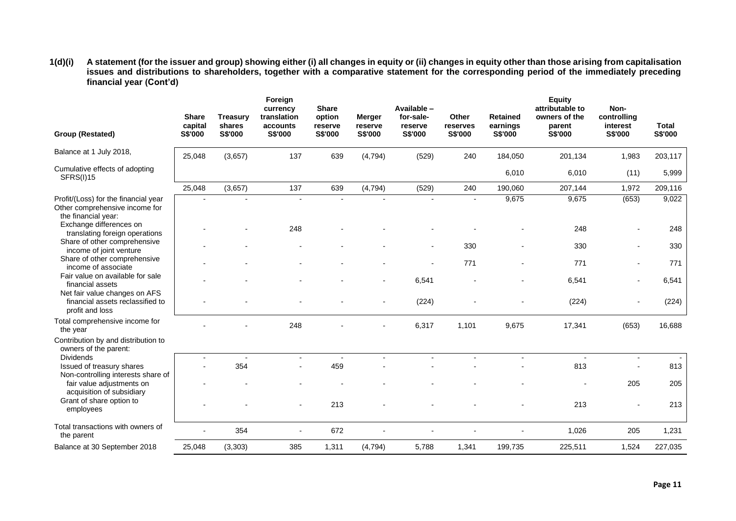**1(d)(i) A statement (for the issuer and group) showing either (i) all changes in equity or (ii) changes in equity other than those arising from capitalisation issues and distributions to shareholders, together with a comparative statement for the corresponding period of the immediately preceding financial year (Cont'd)**

| Group (Restated)                                                                              | <b>Share</b><br>capital<br><b>S\$'000</b> | <b>Treasury</b><br>shares<br>S\$'000 | Foreign<br>currency<br>translation<br>accounts<br>S\$'000 | <b>Share</b><br>option<br>reserve<br>S\$'000 | <b>Merger</b><br>reserve<br>S\$'000 | Available -<br>for-sale-<br>reserve<br>S\$'000 | Other<br>reserves<br>S\$'000 | <b>Retained</b><br>earnings<br><b>S\$'000</b> | <b>Equity</b><br>attributable to<br>owners of the<br>parent<br>S\$'000 | Non-<br>controlling<br>interest<br>S\$'000 | <b>Total</b><br>S\$'000 |
|-----------------------------------------------------------------------------------------------|-------------------------------------------|--------------------------------------|-----------------------------------------------------------|----------------------------------------------|-------------------------------------|------------------------------------------------|------------------------------|-----------------------------------------------|------------------------------------------------------------------------|--------------------------------------------|-------------------------|
| Balance at 1 July 2018,                                                                       | 25,048                                    | (3,657)                              | 137                                                       | 639                                          | (4, 794)                            | (529)                                          | 240                          | 184,050                                       | 201,134                                                                | 1,983                                      | 203,117                 |
| Cumulative effects of adopting<br>SFRS(I)15                                                   |                                           |                                      |                                                           |                                              |                                     |                                                |                              | 6,010                                         | 6,010                                                                  | (11)                                       | 5,999                   |
|                                                                                               | 25,048                                    | (3,657)                              | 137                                                       | 639                                          | (4, 794)                            | (529)                                          | 240                          | 190,060                                       | 207,144                                                                | 1,972                                      | 209,116                 |
| Profit/(Loss) for the financial year<br>Other comprehensive income for<br>the financial year: |                                           |                                      |                                                           |                                              |                                     |                                                | $\blacksquare$               | 9,675                                         | 9,675                                                                  | (653)                                      | 9,022                   |
| Exchange differences on<br>translating foreign operations                                     |                                           |                                      | 248                                                       |                                              |                                     |                                                |                              |                                               | 248                                                                    |                                            | 248                     |
| Share of other comprehensive<br>income of joint venture<br>Share of other comprehensive       |                                           |                                      |                                                           |                                              |                                     |                                                | 330                          |                                               | 330                                                                    |                                            | 330                     |
| income of associate<br>Fair value on available for sale                                       |                                           |                                      |                                                           |                                              |                                     |                                                | 771                          |                                               | 771                                                                    |                                            | 771                     |
| financial assets<br>Net fair value changes on AFS                                             |                                           |                                      |                                                           |                                              |                                     | 6,541                                          |                              |                                               | 6,541                                                                  |                                            | 6,541                   |
| financial assets reclassified to<br>profit and loss                                           |                                           |                                      |                                                           |                                              |                                     | (224)                                          |                              |                                               | (224)                                                                  |                                            | (224)                   |
| Total comprehensive income for<br>the year                                                    |                                           |                                      | 248                                                       |                                              |                                     | 6,317                                          | 1,101                        | 9,675                                         | 17,341                                                                 | (653)                                      | 16,688                  |
| Contribution by and distribution to<br>owners of the parent:                                  |                                           |                                      |                                                           |                                              |                                     |                                                |                              |                                               |                                                                        |                                            |                         |
| <b>Dividends</b>                                                                              | $\overline{\phantom{a}}$                  |                                      | $\blacksquare$                                            |                                              |                                     |                                                |                              | $\overline{\phantom{a}}$                      | $\overline{\phantom{a}}$                                               | $\blacksquare$                             |                         |
| Issued of treasury shares<br>Non-controlling interests share of                               |                                           | 354                                  |                                                           | 459                                          |                                     |                                                |                              |                                               | 813                                                                    |                                            | 813                     |
| fair value adjustments on<br>acquisition of subsidiary                                        |                                           |                                      |                                                           |                                              |                                     |                                                |                              |                                               |                                                                        | 205                                        | 205                     |
| Grant of share option to<br>employees                                                         |                                           |                                      |                                                           | 213                                          |                                     |                                                |                              |                                               | 213                                                                    |                                            | 213                     |
| Total transactions with owners of<br>the parent                                               |                                           | 354                                  | ۰                                                         | 672                                          |                                     |                                                |                              |                                               | 1,026                                                                  | 205                                        | 1,231                   |
| Balance at 30 September 2018                                                                  | 25,048                                    | (3,303)                              | 385                                                       | 1,311                                        | (4,794)                             | 5,788                                          | 1,341                        | 199,735                                       | 225,511                                                                | 1,524                                      | 227,035                 |
|                                                                                               |                                           |                                      |                                                           |                                              |                                     |                                                |                              |                                               |                                                                        |                                            |                         |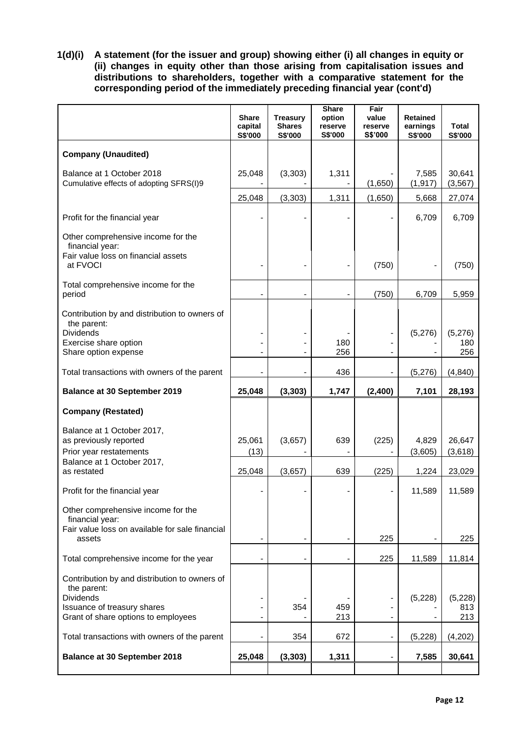**1(d)(i) A statement (for the issuer and group) showing either (i) all changes in equity or (ii) changes in equity other than those arising from capitalisation issues and distributions to shareholders, together with a comparative statement for the corresponding period of the immediately preceding financial year (cont'd)**

|                                                                                                                                   | <b>Share</b><br>capital<br>S\$'000 | <b>Treasury</b><br><b>Shares</b><br>S\$'000 | <b>Share</b><br>option<br>reserve<br>S\$'000 | Fair<br>value<br>reserve<br>S\$'000 | <b>Retained</b><br>earnings<br>S\$'000 | Total<br>S\$'000      |
|-----------------------------------------------------------------------------------------------------------------------------------|------------------------------------|---------------------------------------------|----------------------------------------------|-------------------------------------|----------------------------------------|-----------------------|
| <b>Company (Unaudited)</b>                                                                                                        |                                    |                                             |                                              |                                     |                                        |                       |
| Balance at 1 October 2018<br>Cumulative effects of adopting SFRS(I)9                                                              | 25,048                             | (3, 303)                                    | 1,311                                        | (1,650)                             | 7,585<br>(1, 917)                      | 30,641<br>(3, 567)    |
|                                                                                                                                   | 25,048                             | (3, 303)                                    | 1,311                                        | (1,650)                             | 5,668                                  | 27,074                |
| Profit for the financial year                                                                                                     |                                    |                                             |                                              |                                     | 6,709                                  | 6,709                 |
| Other comprehensive income for the<br>financial year:<br>Fair value loss on financial assets<br>at FVOCI                          |                                    |                                             |                                              | (750)                               |                                        | (750)                 |
| Total comprehensive income for the<br>period                                                                                      | $\blacksquare$                     |                                             | $\overline{\phantom{a}}$                     | (750)                               | 6,709                                  | 5,959                 |
| Contribution by and distribution to owners of<br>the parent:<br><b>Dividends</b><br>Exercise share option<br>Share option expense | $\blacksquare$                     |                                             | 180<br>256                                   |                                     | (5,276)                                | (5,276)<br>180<br>256 |
| Total transactions with owners of the parent                                                                                      |                                    |                                             | 436                                          |                                     | (5,276)                                | (4, 840)              |
| <b>Balance at 30 September 2019</b>                                                                                               | 25,048                             | (3, 303)                                    | 1,747                                        | (2,400)                             | 7,101                                  | 28,193                |
|                                                                                                                                   |                                    |                                             |                                              |                                     |                                        |                       |
| <b>Company (Restated)</b>                                                                                                         |                                    |                                             |                                              |                                     |                                        |                       |
| Balance at 1 October 2017,<br>as previously reported<br>Prior year restatements                                                   | 25,061<br>(13)                     | (3,657)                                     | 639                                          | (225)                               | 4,829<br>(3,605)                       | 26,647<br>(3,618)     |
| Balance at 1 October 2017,<br>as restated                                                                                         | 25,048                             | (3,657)                                     | 639                                          | (225)                               | 1,224                                  | 23,029                |
| Profit for the financial year                                                                                                     |                                    |                                             |                                              |                                     | 11,589                                 | 11,589                |
| Other comprehensive income for the<br>financial year:<br>Fair value loss on available for sale financial<br>assets                |                                    |                                             |                                              | 225                                 |                                        | 225                   |
| Total comprehensive income for the year                                                                                           | $\blacksquare$                     |                                             |                                              | 225                                 | 11,589                                 | 11,814                |
| Contribution by and distribution to owners of<br>the parent:<br><b>Dividends</b>                                                  |                                    | 354                                         |                                              |                                     | (5,228)                                | (5,228)               |
| Issuance of treasury shares<br>Grant of share options to employees                                                                |                                    |                                             | 459<br>213                                   |                                     |                                        | 813<br>213            |
| Total transactions with owners of the parent                                                                                      |                                    | 354                                         | 672                                          |                                     | (5, 228)                               | (4,202)               |
| <b>Balance at 30 September 2018</b>                                                                                               | 25,048                             | (3, 303)                                    | 1,311                                        |                                     | 7,585                                  | 30,641                |
|                                                                                                                                   |                                    |                                             |                                              |                                     |                                        |                       |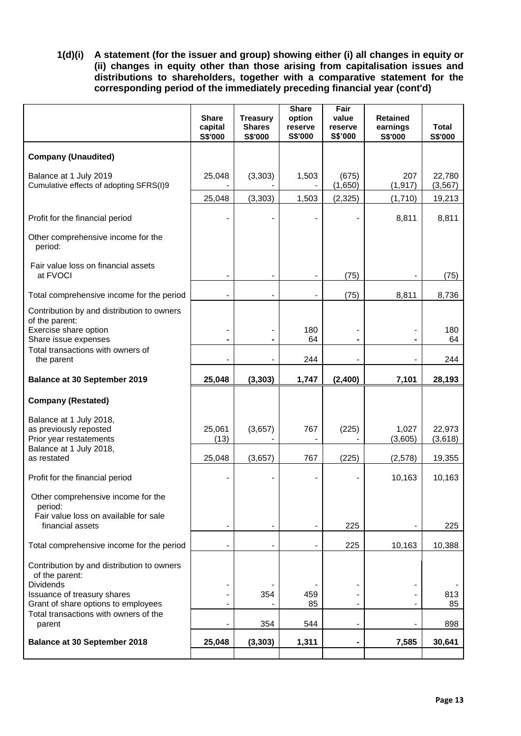**1(d)(i) A statement (for the issuer and group) showing either (i) all changes in equity or (ii) changes in equity other than those arising from capitalisation issues and distributions to shareholders, together with a comparative statement for the corresponding period of the immediately preceding financial year (cont'd)**

| <b>Company (Unaudited)</b><br>(3, 303)<br>1,503<br>(675)<br>207<br>Balance at 1 July 2019<br>25,048<br>Cumulative effects of adopting SFRS(I)9<br>(1,650)<br>(1, 917)<br>25,048<br>(3, 303)<br>1,503<br>(2, 325)<br>(1,710)<br>8,811<br>Profit for the financial period<br>Other comprehensive income for the<br>period:<br>Fair value loss on financial assets<br>at FVOCI<br>(75)<br>(75)<br>Total comprehensive income for the period<br>8,811<br>$\blacksquare$<br>Contribution by and distribution to owners<br>of the parent:<br>Exercise share option<br>180<br>-<br>Share issue expenses<br>64<br>۰<br>Total transactions with owners of<br>244<br>the parent<br><b>Balance at 30 September 2019</b><br>25,048<br>(3, 303)<br>1,747<br>(2,400)<br>7,101<br><b>Company (Restated)</b><br>Balance at 1 July 2018,<br>as previously reposted<br>25,061<br>(3,657)<br>767<br>(225)<br>1,027<br>Prior year restatements<br>(13)<br>(3,605)<br>Balance at 1 July 2018,<br>(225)<br>as restated<br>25,048<br>(3,657)<br>767<br>(2,578)<br>10,163<br>Profit for the financial period<br>Other comprehensive income for the<br>period:<br>Fair value loss on available for sale<br>financial assets<br>225<br>-<br>$\blacksquare$<br>225<br>Total comprehensive income for the period<br>10,163<br>Contribution by and distribution to owners<br>of the parent:<br><b>Dividends</b><br>Issuance of treasury shares<br>354<br>459<br>Grant of share options to employees<br>85 |                                       | <b>Share</b><br>capital<br>S\$'000 | <b>Treasury</b><br><b>Shares</b><br>S\$'000 | <b>Share</b><br>option<br>reserve<br>S\$'000 | Fair<br>value<br>reserve<br>S\$'000 | <b>Retained</b><br>earnings<br>S\$'000 | <b>Total</b><br>S\$'000 |
|------------------------------------------------------------------------------------------------------------------------------------------------------------------------------------------------------------------------------------------------------------------------------------------------------------------------------------------------------------------------------------------------------------------------------------------------------------------------------------------------------------------------------------------------------------------------------------------------------------------------------------------------------------------------------------------------------------------------------------------------------------------------------------------------------------------------------------------------------------------------------------------------------------------------------------------------------------------------------------------------------------------------------------------------------------------------------------------------------------------------------------------------------------------------------------------------------------------------------------------------------------------------------------------------------------------------------------------------------------------------------------------------------------------------------------------------------------------------------|---------------------------------------|------------------------------------|---------------------------------------------|----------------------------------------------|-------------------------------------|----------------------------------------|-------------------------|
|                                                                                                                                                                                                                                                                                                                                                                                                                                                                                                                                                                                                                                                                                                                                                                                                                                                                                                                                                                                                                                                                                                                                                                                                                                                                                                                                                                                                                                                                              |                                       |                                    |                                             |                                              |                                     |                                        |                         |
|                                                                                                                                                                                                                                                                                                                                                                                                                                                                                                                                                                                                                                                                                                                                                                                                                                                                                                                                                                                                                                                                                                                                                                                                                                                                                                                                                                                                                                                                              |                                       |                                    |                                             |                                              |                                     |                                        | 22,780<br>(3, 567)      |
|                                                                                                                                                                                                                                                                                                                                                                                                                                                                                                                                                                                                                                                                                                                                                                                                                                                                                                                                                                                                                                                                                                                                                                                                                                                                                                                                                                                                                                                                              |                                       |                                    |                                             |                                              |                                     |                                        | 19,213                  |
|                                                                                                                                                                                                                                                                                                                                                                                                                                                                                                                                                                                                                                                                                                                                                                                                                                                                                                                                                                                                                                                                                                                                                                                                                                                                                                                                                                                                                                                                              |                                       |                                    |                                             |                                              |                                     |                                        | 8,811                   |
|                                                                                                                                                                                                                                                                                                                                                                                                                                                                                                                                                                                                                                                                                                                                                                                                                                                                                                                                                                                                                                                                                                                                                                                                                                                                                                                                                                                                                                                                              |                                       |                                    |                                             |                                              |                                     |                                        |                         |
|                                                                                                                                                                                                                                                                                                                                                                                                                                                                                                                                                                                                                                                                                                                                                                                                                                                                                                                                                                                                                                                                                                                                                                                                                                                                                                                                                                                                                                                                              |                                       |                                    |                                             |                                              |                                     |                                        | (75)                    |
|                                                                                                                                                                                                                                                                                                                                                                                                                                                                                                                                                                                                                                                                                                                                                                                                                                                                                                                                                                                                                                                                                                                                                                                                                                                                                                                                                                                                                                                                              |                                       |                                    |                                             |                                              |                                     |                                        | 8,736                   |
|                                                                                                                                                                                                                                                                                                                                                                                                                                                                                                                                                                                                                                                                                                                                                                                                                                                                                                                                                                                                                                                                                                                                                                                                                                                                                                                                                                                                                                                                              |                                       |                                    |                                             |                                              |                                     |                                        |                         |
|                                                                                                                                                                                                                                                                                                                                                                                                                                                                                                                                                                                                                                                                                                                                                                                                                                                                                                                                                                                                                                                                                                                                                                                                                                                                                                                                                                                                                                                                              |                                       |                                    |                                             |                                              |                                     |                                        | 180<br>64               |
|                                                                                                                                                                                                                                                                                                                                                                                                                                                                                                                                                                                                                                                                                                                                                                                                                                                                                                                                                                                                                                                                                                                                                                                                                                                                                                                                                                                                                                                                              |                                       |                                    |                                             |                                              |                                     |                                        | 244                     |
|                                                                                                                                                                                                                                                                                                                                                                                                                                                                                                                                                                                                                                                                                                                                                                                                                                                                                                                                                                                                                                                                                                                                                                                                                                                                                                                                                                                                                                                                              |                                       |                                    |                                             |                                              |                                     |                                        | 28,193                  |
|                                                                                                                                                                                                                                                                                                                                                                                                                                                                                                                                                                                                                                                                                                                                                                                                                                                                                                                                                                                                                                                                                                                                                                                                                                                                                                                                                                                                                                                                              |                                       |                                    |                                             |                                              |                                     |                                        |                         |
|                                                                                                                                                                                                                                                                                                                                                                                                                                                                                                                                                                                                                                                                                                                                                                                                                                                                                                                                                                                                                                                                                                                                                                                                                                                                                                                                                                                                                                                                              |                                       |                                    |                                             |                                              |                                     |                                        | 22,973<br>(3,618)       |
|                                                                                                                                                                                                                                                                                                                                                                                                                                                                                                                                                                                                                                                                                                                                                                                                                                                                                                                                                                                                                                                                                                                                                                                                                                                                                                                                                                                                                                                                              |                                       |                                    |                                             |                                              |                                     |                                        | 19,355                  |
|                                                                                                                                                                                                                                                                                                                                                                                                                                                                                                                                                                                                                                                                                                                                                                                                                                                                                                                                                                                                                                                                                                                                                                                                                                                                                                                                                                                                                                                                              |                                       |                                    |                                             |                                              |                                     |                                        | 10,163                  |
|                                                                                                                                                                                                                                                                                                                                                                                                                                                                                                                                                                                                                                                                                                                                                                                                                                                                                                                                                                                                                                                                                                                                                                                                                                                                                                                                                                                                                                                                              |                                       |                                    |                                             |                                              |                                     |                                        |                         |
|                                                                                                                                                                                                                                                                                                                                                                                                                                                                                                                                                                                                                                                                                                                                                                                                                                                                                                                                                                                                                                                                                                                                                                                                                                                                                                                                                                                                                                                                              |                                       |                                    |                                             |                                              |                                     |                                        | 225                     |
|                                                                                                                                                                                                                                                                                                                                                                                                                                                                                                                                                                                                                                                                                                                                                                                                                                                                                                                                                                                                                                                                                                                                                                                                                                                                                                                                                                                                                                                                              |                                       |                                    |                                             |                                              |                                     |                                        | 10,388                  |
|                                                                                                                                                                                                                                                                                                                                                                                                                                                                                                                                                                                                                                                                                                                                                                                                                                                                                                                                                                                                                                                                                                                                                                                                                                                                                                                                                                                                                                                                              |                                       |                                    |                                             |                                              |                                     |                                        |                         |
|                                                                                                                                                                                                                                                                                                                                                                                                                                                                                                                                                                                                                                                                                                                                                                                                                                                                                                                                                                                                                                                                                                                                                                                                                                                                                                                                                                                                                                                                              |                                       |                                    |                                             |                                              |                                     |                                        | 813<br>85               |
| parent<br>354<br>544                                                                                                                                                                                                                                                                                                                                                                                                                                                                                                                                                                                                                                                                                                                                                                                                                                                                                                                                                                                                                                                                                                                                                                                                                                                                                                                                                                                                                                                         | Total transactions with owners of the |                                    |                                             |                                              |                                     |                                        | 898                     |
| 1,311<br>7,585<br><b>Balance at 30 September 2018</b><br>25,048<br>(3, 303)                                                                                                                                                                                                                                                                                                                                                                                                                                                                                                                                                                                                                                                                                                                                                                                                                                                                                                                                                                                                                                                                                                                                                                                                                                                                                                                                                                                                  |                                       |                                    |                                             |                                              |                                     |                                        | 30,641                  |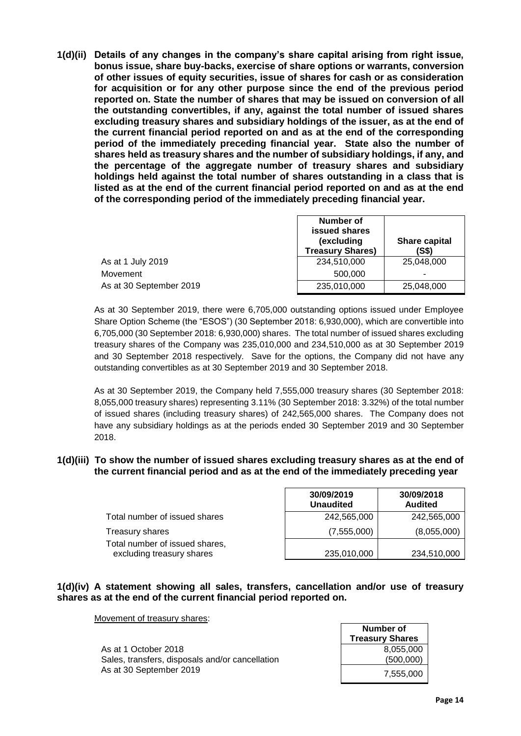**1(d)(ii) Details of any changes in the company's share capital arising from right issue, bonus issue, share buy-backs, exercise of share options or warrants, conversion of other issues of equity securities, issue of shares for cash or as consideration for acquisition or for any other purpose since the end of the previous period reported on. State the number of shares that may be issued on conversion of all the outstanding convertibles, if any, against the total number of issued shares excluding treasury shares and subsidiary holdings of the issuer, as at the end of the current financial period reported on and as at the end of the corresponding period of the immediately preceding financial year. State also the number of shares held as treasury shares and the number of subsidiary holdings, if any, and the percentage of the aggregate number of treasury shares and subsidiary holdings held against the total number of shares outstanding in a class that is listed as at the end of the current financial period reported on and as at the end of the corresponding period of the immediately preceding financial year.**

|                         | Number of<br>issued shares<br>(excluding<br><b>Treasury Shares)</b> | Share capital<br>(S\$) |
|-------------------------|---------------------------------------------------------------------|------------------------|
| As at 1 July 2019       | 234.510.000                                                         | 25,048,000             |
| Movement                | 500,000                                                             | -                      |
| As at 30 September 2019 | 235,010,000                                                         | 25,048,000             |

As at 30 September 2019, there were 6,705,000 outstanding options issued under Employee Share Option Scheme (the "ESOS") (30 September 2018: 6,930,000), which are convertible into 6,705,000 (30 September 2018: 6,930,000) shares. The total number of issued shares excluding treasury shares of the Company was 235,010,000 and 234,510,000 as at 30 September 2019 and 30 September 2018 respectively. Save for the options, the Company did not have any outstanding convertibles as at 30 September 2019 and 30 September 2018.

As at 30 September 2019, the Company held 7,555,000 treasury shares (30 September 2018: 8,055,000 treasury shares) representing 3.11% (30 September 2018: 3.32%) of the total number of issued shares (including treasury shares) of 242,565,000 shares. The Company does not have any subsidiary holdings as at the periods ended 30 September 2019 and 30 September 2018.

#### **1(d)(iii) To show the number of issued shares excluding treasury shares as at the end of the current financial period and as at the end of the immediately preceding year**

|                                                             | <b>30/09/2019</b><br><b>Unaudited</b> | <b>JU/UY/ZUTO</b><br><b>Audited</b> |
|-------------------------------------------------------------|---------------------------------------|-------------------------------------|
| Total number of issued shares                               | 242,565,000                           | 242,565,000                         |
| Treasury shares                                             | (7,555,000)                           | (8,055,000)                         |
| Total number of issued shares,<br>excluding treasury shares | 235,010,000                           | 234,510,000                         |

**30/09/2019**

#### **1(d)(iv) A statement showing all sales, transfers, cancellation and/or use of treasury shares as at the end of the current financial period reported on.**

Movement of treasury shares:

As at 1 October 2018 Sales, transfers, disposals and/or cancellation As at 30 September 2019

| Number of<br><b>Treasury Shares</b> |
|-------------------------------------|
| 8,055,000                           |
| (500,000)                           |
| 7.555.000                           |

┯

**30/09/2018**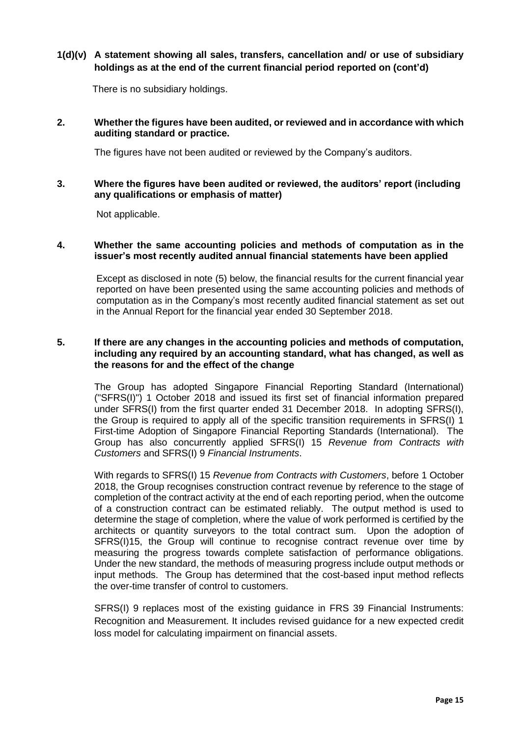# **1(d)(v) A statement showing all sales, transfers, cancellation and/ or use of subsidiary holdings as at the end of the current financial period reported on (cont'd)**

There is no subsidiary holdings.

### **2. Whether the figures have been audited, or reviewed and in accordance with which auditing standard or practice.**

The figures have not been audited or reviewed by the Company's auditors.

#### **3. Where the figures have been audited or reviewed, the auditors' report (including any qualifications or emphasis of matter)**

Not applicable.

#### **4. Whether the same accounting policies and methods of computation as in the issuer's most recently audited annual financial statements have been applied**

Except as disclosed in note (5) below, the financial results for the current financial year reported on have been presented using the same accounting policies and methods of computation as in the Company's most recently audited financial statement as set out in the Annual Report for the financial year ended 30 September 2018.

#### **5. If there are any changes in the accounting policies and methods of computation, including any required by an accounting standard, what has changed, as well as the reasons for and the effect of the change**

The Group has adopted Singapore Financial Reporting Standard (International) ("SFRS(I)") 1 October 2018 and issued its first set of financial information prepared under SFRS(I) from the first quarter ended 31 December 2018. In adopting SFRS(I), the Group is required to apply all of the specific transition requirements in SFRS(I) 1 First-time Adoption of Singapore Financial Reporting Standards (International). The Group has also concurrently applied SFRS(I) 15 *Revenue from Contracts with Customers* and SFRS(I) 9 *Financial Instruments*.

With regards to SFRS(I) 15 *Revenue from Contracts with Customers*, before 1 October 2018, the Group recognises construction contract revenue by reference to the stage of completion of the contract activity at the end of each reporting period, when the outcome of a construction contract can be estimated reliably. The output method is used to determine the stage of completion, where the value of work performed is certified by the architects or quantity surveyors to the total contract sum. Upon the adoption of SFRS(I)15, the Group will continue to recognise contract revenue over time by measuring the progress towards complete satisfaction of performance obligations. Under the new standard, the methods of measuring progress include output methods or input methods. The Group has determined that the cost-based input method reflects the over-time transfer of control to customers.

SFRS(I) 9 replaces most of the existing guidance in FRS 39 Financial Instruments: Recognition and Measurement. It includes revised guidance for a new expected credit loss model for calculating impairment on financial assets.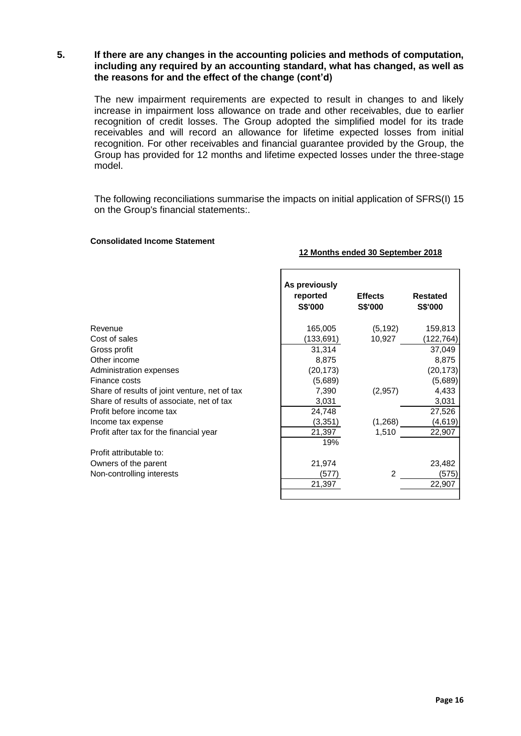**5. If there are any changes in the accounting policies and methods of computation, including any required by an accounting standard, what has changed, as well as the reasons for and the effect of the change (cont'd)**

The new impairment requirements are expected to result in changes to and likely increase in impairment loss allowance on trade and other receivables, due to earlier recognition of credit losses. The Group adopted the simplified model for its trade receivables and will record an allowance for lifetime expected losses from initial recognition. For other receivables and financial guarantee provided by the Group, the Group has provided for 12 months and lifetime expected losses under the three-stage model.

The following reconciliations summarise the impacts on initial application of SFRS(I) 15 on the Group's financial statements:.

#### **Consolidated Income Statement**

#### **12 Months ended 30 September 2018**

|                                               | As previously<br>reported | <b>Effects</b> | <b>Restated</b> |
|-----------------------------------------------|---------------------------|----------------|-----------------|
|                                               | <b>S\$'000</b>            | S\$'000        | <b>S\$'000</b>  |
| Revenue                                       | 165,005                   | (5, 192)       | 159,813         |
| Cost of sales                                 | (133,691)                 | 10,927         | (122, 764)      |
| Gross profit                                  | 31,314                    |                | 37,049          |
| Other income                                  | 8,875                     |                | 8,875           |
| Administration expenses                       | (20, 173)                 |                | (20, 173)       |
| Finance costs                                 | (5,689)                   |                | (5,689)         |
| Share of results of joint venture, net of tax | 7,390                     | (2,957)        | 4,433           |
| Share of results of associate, net of tax     | 3,031                     |                | 3,031           |
| Profit before income tax                      | 24,748                    |                | 27,526          |
| Income tax expense                            | (3, 351)                  | (1,268)        | (4, 619)        |
| Profit after tax for the financial year       | 21,397                    | 1,510          | 22,907          |
|                                               | 19%                       |                |                 |
| Profit attributable to:                       |                           |                |                 |
| Owners of the parent                          | 21,974                    |                | 23,482          |
| Non-controlling interests                     | (577)                     | $\mathfrak{p}$ | (575)           |
|                                               | 21,397                    |                | 22,907          |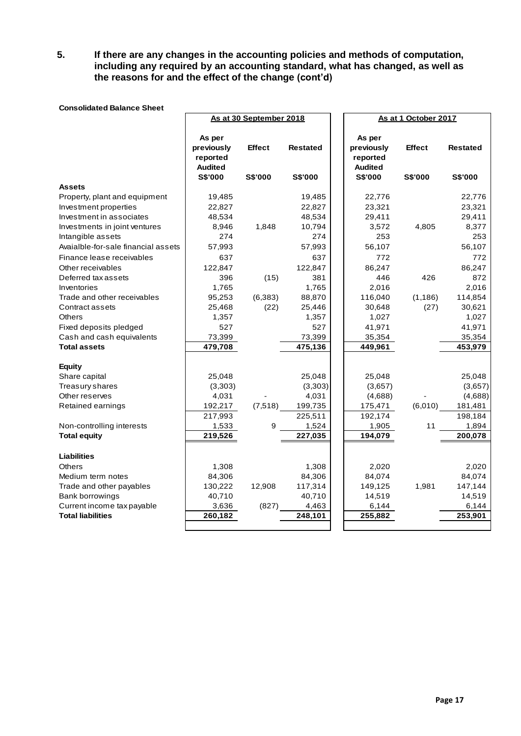**5. If there are any changes in the accounting policies and methods of computation, including any required by an accounting standard, what has changed, as well as the reasons for and the effect of the change (cont'd)**

|                                     |                | As at 30 September 2018 |                 | As at 1 October 2017 |               |                 |
|-------------------------------------|----------------|-------------------------|-----------------|----------------------|---------------|-----------------|
|                                     |                |                         |                 |                      |               |                 |
|                                     | As per         |                         |                 | As per               |               |                 |
|                                     | previously     | <b>Effect</b>           | <b>Restated</b> | previously           | <b>Effect</b> | <b>Restated</b> |
|                                     | reported       |                         |                 | reported             |               |                 |
|                                     | <b>Audited</b> |                         |                 | <b>Audited</b>       |               |                 |
|                                     | S\$'000        | S\$'000                 | S\$'000         | <b>S\$'000</b>       | S\$'000       | S\$'000         |
| <b>Assets</b>                       |                |                         |                 |                      |               |                 |
| Property, plant and equipment       | 19,485         |                         | 19,485          | 22,776               |               | 22,776          |
| Investment properties               | 22,827         |                         | 22,827          | 23,321               |               | 23,321          |
| Investment in associates            | 48,534         |                         | 48,534          | 29,411               |               | 29,411          |
| Investments in joint ventures       | 8,946          | 1,848                   | 10,794          | 3,572                | 4,805         | 8,377           |
| Intangible assets                   | 274            |                         | 274             | 253                  |               | 253             |
| Avaialble-for-sale financial assets | 57,993         |                         | 57,993          | 56,107               |               | 56,107          |
| Finance lease receivables           | 637            |                         | 637             | 772                  |               | 772             |
| Other receivables                   | 122,847        |                         | 122,847         | 86,247               |               | 86,247          |
| Deferred tax assets                 | 396            | (15)                    | 381             | 446                  | 426           | 872             |
| Inventories                         | 1,765          |                         | 1,765           | 2,016                |               | 2,016           |
| Trade and other receivables         | 95,253         | (6, 383)                | 88,870          | 116,040              | (1, 186)      | 114,854         |
| Contract assets                     | 25,468         | (22)                    | 25,446          | 30,648               | (27)          | 30,621          |
| Others                              | 1,357          |                         | 1,357           | 1,027                |               | 1,027           |
| Fixed deposits pledged              | 527            |                         | 527             | 41,971               |               | 41,971          |
| Cash and cash equivalents           | 73,399         |                         | 73,399          | 35,354               |               | 35,354          |
| <b>Total assets</b>                 | 479,708        |                         | 475,136         | 449,961              |               | 453,979         |
|                                     |                |                         |                 |                      |               |                 |
| <b>Equity</b><br>Share capital      | 25,048         |                         | 25,048          | 25,048               |               | 25,048          |
| Treasury shares                     | (3,303)        |                         | (3,303)         | (3,657)              |               | (3,657)         |
| Other reserves                      | 4,031          |                         | 4,031           | (4,688)              |               | (4,688)         |
| Retained earnings                   | 192,217        | (7, 518)                | 199,735         | 175,471              | (6,010)       | 181,481         |
|                                     | 217,993        |                         | 225,511         | 192,174              |               | 198,184         |
| Non-controlling interests           | 1,533          | 9                       | 1,524           | 1,905                | 11            | 1,894           |
| <b>Total equity</b>                 | 219,526        |                         | 227,035         | 194,079              |               | 200,078         |
|                                     |                |                         |                 |                      |               |                 |
| <b>Liabilities</b>                  |                |                         |                 |                      |               |                 |
| <b>Others</b>                       | 1,308          |                         | 1,308           | 2,020                |               | 2,020           |
| Medium term notes                   | 84,306         |                         | 84,306          | 84,074               |               | 84,074          |
| Trade and other payables            | 130,222        | 12,908                  | 117,314         | 149,125              | 1,981         | 147,144         |
| Bank borrowings                     | 40,710         |                         | 40,710          | 14,519               |               | 14,519          |
| Current income tax payable          | 3,636          | (827)                   | 4,463           | 6,144                |               | 6,144           |
| <b>Total liabilities</b>            | 260,182        |                         | 248,101         | 255,882              |               | 253,901         |
|                                     |                |                         |                 |                      |               |                 |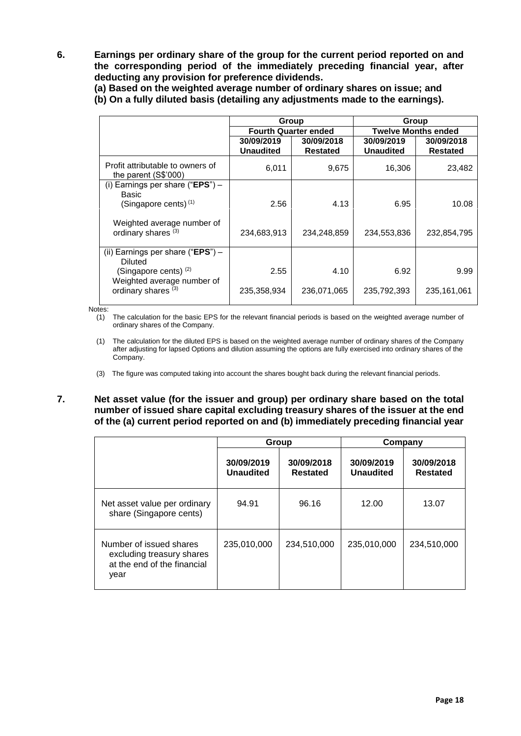**6. Earnings per ordinary share of the group for the current period reported on and the corresponding period of the immediately preceding financial year, after deducting any provision for preference dividends.**

**(a) Based on the weighted average number of ordinary shares on issue; and (b) On a fully diluted basis (detailing any adjustments made to the earnings).**

|                                                                | Group                          |                               | Group                          |                               |  |  |
|----------------------------------------------------------------|--------------------------------|-------------------------------|--------------------------------|-------------------------------|--|--|
|                                                                | <b>Fourth Quarter ended</b>    |                               |                                | <b>Twelve Months ended</b>    |  |  |
|                                                                | 30/09/2019<br><b>Unaudited</b> | 30/09/2018<br><b>Restated</b> | 30/09/2019<br><b>Unaudited</b> | 30/09/2018<br><b>Restated</b> |  |  |
| Profit attributable to owners of<br>the parent $(S$'000)$      | 6,011                          | 9,675                         | 16,306                         | 23,482                        |  |  |
| (i) Earnings per share ("EPS") $-$<br>Basic                    |                                |                               |                                |                               |  |  |
| (Singapore cents) $(1)$                                        | 2.56                           | 4.13                          | 6.95                           | 10.08                         |  |  |
| Weighted average number of<br>ordinary shares <sup>(3)</sup>   | 234,683,913                    | 234,248,859                   | 234,553,836                    | 232,854,795                   |  |  |
| (ii) Earnings per share (" <b>EPS</b> ") $-$<br>Diluted        |                                |                               |                                |                               |  |  |
| (Singapore cents) <sup>(2)</sup><br>Weighted average number of | 2.55                           | 4.10                          | 6.92                           | 9.99                          |  |  |
| ordinary shares <sup>(3)</sup>                                 | 235,358,934                    | 236,071,065                   | 235,792,393                    | 235,161,061                   |  |  |

Notes:

(1) The calculation for the basic EPS for the relevant financial periods is based on the weighted average number of ordinary shares of the Company.

(1) The calculation for the diluted EPS is based on the weighted average number of ordinary shares of the Company after adjusting for lapsed Options and dilution assuming the options are fully exercised into ordinary shares of the Company.

**7. Net asset value (for the issuer and group) per ordinary share based on the total number of issued share capital excluding treasury shares of the issuer at the end of the (a) current period reported on and (b) immediately preceding financial year**

|                                                                                             | Group                                                    |             | Company                        |                               |  |
|---------------------------------------------------------------------------------------------|----------------------------------------------------------|-------------|--------------------------------|-------------------------------|--|
|                                                                                             | 30/09/2019<br>30/09/2018<br><b>Unaudited</b><br>Restated |             | 30/09/2019<br><b>Unaudited</b> | 30/09/2018<br><b>Restated</b> |  |
| Net asset value per ordinary<br>share (Singapore cents)                                     | 94.91                                                    | 96.16       | 12.00                          | 13.07                         |  |
| Number of issued shares<br>excluding treasury shares<br>at the end of the financial<br>year | 235,010,000                                              | 234,510,000 | 235,010,000                    | 234,510,000                   |  |

<sup>(3)</sup> The figure was computed taking into account the shares bought back during the relevant financial periods.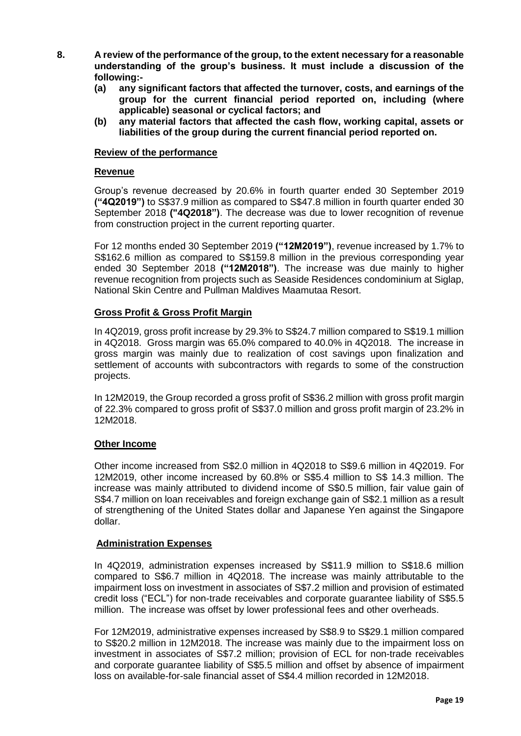- **8. A review of the performance of the group, to the extent necessary for a reasonable understanding of the group's business. It must include a discussion of the following:-**
	- **(a) any significant factors that affected the turnover, costs, and earnings of the group for the current financial period reported on, including (where applicable) seasonal or cyclical factors; and**
	- **(b) any material factors that affected the cash flow, working capital, assets or liabilities of the group during the current financial period reported on.**

#### **Review of the performance**

#### **Revenue**

Group's revenue decreased by 20.6% in fourth quarter ended 30 September 2019 **("4Q2019")** to S\$37.9 million as compared to S\$47.8 million in fourth quarter ended 30 September 2018 **("4Q2018")**. The decrease was due to lower recognition of revenue from construction project in the current reporting quarter.

For 12 months ended 30 September 2019 **("12M2019")**, revenue increased by 1.7% to S\$162.6 million as compared to S\$159.8 million in the previous corresponding year ended 30 September 2018 **("12M2018")**. The increase was due mainly to higher revenue recognition from projects such as Seaside Residences condominium at Siglap, National Skin Centre and Pullman Maldives Maamutaa Resort.

#### **Gross Profit & Gross Profit Margin**

In 4Q2019, gross profit increase by 29.3% to S\$24.7 million compared to S\$19.1 million in 4Q2018. Gross margin was 65.0% compared to 40.0% in 4Q2018. The increase in gross margin was mainly due to realization of cost savings upon finalization and settlement of accounts with subcontractors with regards to some of the construction projects.

In 12M2019, the Group recorded a gross profit of S\$36.2 million with gross profit margin of 22.3% compared to gross profit of S\$37.0 million and gross profit margin of 23.2% in 12M2018.

#### **Other Income**

Other income increased from S\$2.0 million in 4Q2018 to S\$9.6 million in 4Q2019. For 12M2019, other income increased by 60.8% or S\$5.4 million to S\$ 14.3 million. The increase was mainly attributed to dividend income of S\$0.5 million, fair value gain of S\$4.7 million on loan receivables and foreign exchange gain of S\$2.1 million as a result of strengthening of the United States dollar and Japanese Yen against the Singapore dollar.

#### **Administration Expenses**

In 4Q2019, administration expenses increased by S\$11.9 million to S\$18.6 million compared to S\$6.7 million in 4Q2018. The increase was mainly attributable to the impairment loss on investment in associates of S\$7.2 million and provision of estimated credit loss ("ECL") for non-trade receivables and corporate guarantee liability of S\$5.5 million. The increase was offset by lower professional fees and other overheads.

For 12M2019, administrative expenses increased by S\$8.9 to S\$29.1 million compared to S\$20.2 million in 12M2018. The increase was mainly due to the impairment loss on investment in associates of S\$7.2 million; provision of ECL for non-trade receivables and corporate guarantee liability of S\$5.5 million and offset by absence of impairment loss on available-for-sale financial asset of S\$4.4 million recorded in 12M2018.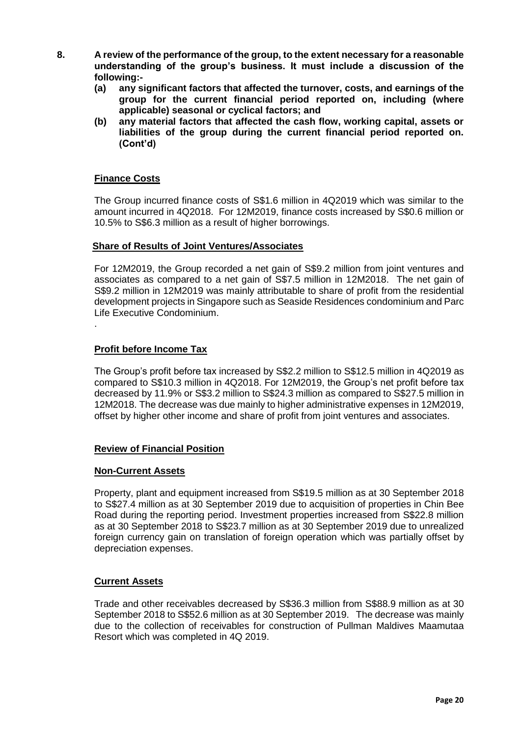- **8. A review of the performance of the group, to the extent necessary for a reasonable understanding of the group's business. It must include a discussion of the following:-**
	- **(a) any significant factors that affected the turnover, costs, and earnings of the group for the current financial period reported on, including (where applicable) seasonal or cyclical factors; and**
	- **(b) any material factors that affected the cash flow, working capital, assets or liabilities of the group during the current financial period reported on. (Cont'd)**

### **Finance Costs**

The Group incurred finance costs of S\$1.6 million in 4Q2019 which was similar to the amount incurred in 4Q2018. For 12M2019, finance costs increased by S\$0.6 million or 10.5% to S\$6.3 million as a result of higher borrowings.

#### **Share of Results of Joint Ventures/Associates**

For 12M2019, the Group recorded a net gain of S\$9.2 million from joint ventures and associates as compared to a net gain of S\$7.5 million in 12M2018. The net gain of S\$9.2 million in 12M2019 was mainly attributable to share of profit from the residential development projects in Singapore such as Seaside Residences condominium and Parc Life Executive Condominium.

### **Profit before Income Tax**

.

The Group's profit before tax increased by S\$2.2 million to S\$12.5 million in 4Q2019 as compared to S\$10.3 million in 4Q2018. For 12M2019, the Group's net profit before tax decreased by 11.9% or S\$3.2 million to S\$24.3 million as compared to S\$27.5 million in 12M2018. The decrease was due mainly to higher administrative expenses in 12M2019, offset by higher other income and share of profit from joint ventures and associates.

### **Review of Financial Position**

#### **Non-Current Assets**

Property, plant and equipment increased from S\$19.5 million as at 30 September 2018 to S\$27.4 million as at 30 September 2019 due to acquisition of properties in Chin Bee Road during the reporting period. Investment properties increased from S\$22.8 million as at 30 September 2018 to S\$23.7 million as at 30 September 2019 due to unrealized foreign currency gain on translation of foreign operation which was partially offset by depreciation expenses.

### **Current Assets**

Trade and other receivables decreased by S\$36.3 million from S\$88.9 million as at 30 September 2018 to S\$52.6 million as at 30 September 2019. The decrease was mainly due to the collection of receivables for construction of Pullman Maldives Maamutaa Resort which was completed in 4Q 2019.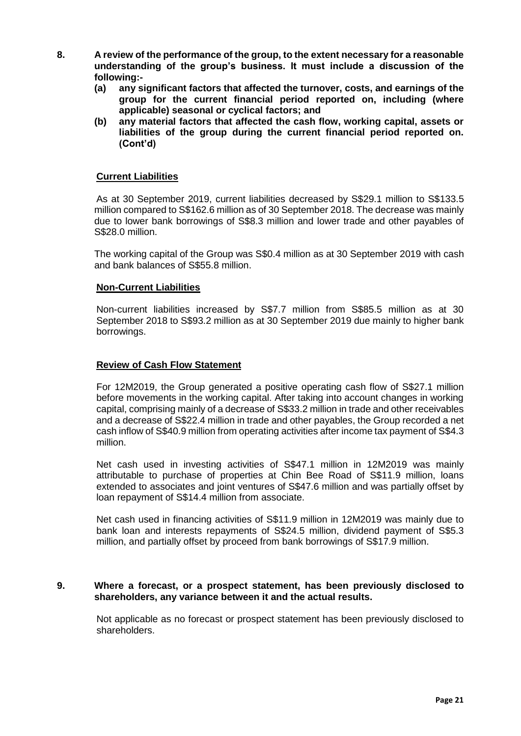- **8. A review of the performance of the group, to the extent necessary for a reasonable understanding of the group's business. It must include a discussion of the following:-**
	- **(a) any significant factors that affected the turnover, costs, and earnings of the group for the current financial period reported on, including (where applicable) seasonal or cyclical factors; and**
	- **(b) any material factors that affected the cash flow, working capital, assets or liabilities of the group during the current financial period reported on. (Cont'd)**

### **Current Liabilities**

As at 30 September 2019, current liabilities decreased by S\$29.1 million to S\$133.5 million compared to S\$162.6 million as of 30 September 2018. The decrease was mainly due to lower bank borrowings of S\$8.3 million and lower trade and other payables of S\$28.0 million.

The working capital of the Group was S\$0.4 million as at 30 September 2019 with cash and bank balances of S\$55.8 million.

#### **Non-Current Liabilities**

Non-current liabilities increased by S\$7.7 million from S\$85.5 million as at 30 September 2018 to S\$93.2 million as at 30 September 2019 due mainly to higher bank borrowings.

#### **Review of Cash Flow Statement**

For 12M2019, the Group generated a positive operating cash flow of S\$27.1 million before movements in the working capital. After taking into account changes in working capital, comprising mainly of a decrease of S\$33.2 million in trade and other receivables and a decrease of S\$22.4 million in trade and other payables, the Group recorded a net cash inflow of S\$40.9 million from operating activities after income tax payment of S\$4.3 million.

Net cash used in investing activities of S\$47.1 million in 12M2019 was mainly attributable to purchase of properties at Chin Bee Road of S\$11.9 million, loans extended to associates and joint ventures of S\$47.6 million and was partially offset by loan repayment of S\$14.4 million from associate.

Net cash used in financing activities of S\$11.9 million in 12M2019 was mainly due to bank loan and interests repayments of S\$24.5 million, dividend payment of S\$5.3 million, and partially offset by proceed from bank borrowings of S\$17.9 million.

#### **9. Where a forecast, or a prospect statement, has been previously disclosed to shareholders, any variance between it and the actual results.**

Not applicable as no forecast or prospect statement has been previously disclosed to shareholders.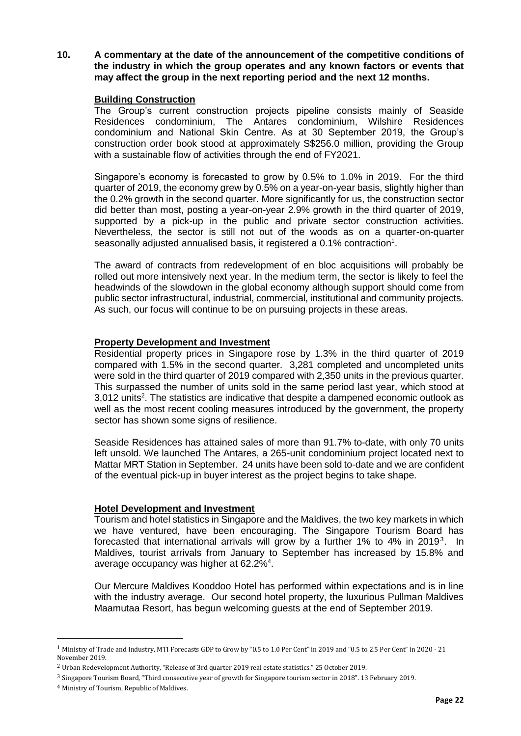**10. A commentary at the date of the announcement of the competitive conditions of the industry in which the group operates and any known factors or events that may affect the group in the next reporting period and the next 12 months.** 

#### **Building Construction**

The Group's current construction projects pipeline consists mainly of Seaside Residences condominium, The Antares condominium, Wilshire Residences condominium and National Skin Centre. As at 30 September 2019, the Group's construction order book stood at approximately S\$256.0 million, providing the Group with a sustainable flow of activities through the end of FY2021.

Singapore's economy is forecasted to grow by 0.5% to 1.0% in 2019. For the third quarter of 2019, the economy grew by 0.5% on a year-on-year basis, slightly higher than the 0.2% growth in the second quarter. More significantly for us, the construction sector did better than most, posting a year-on-year 2.9% growth in the third quarter of 2019, supported by a pick-up in the public and private sector construction activities. Nevertheless, the sector is still not out of the woods as on a quarter-on-quarter seasonally adjusted annualised basis, it registered a 0.1% contraction<sup>1</sup>.

The award of contracts from redevelopment of en bloc acquisitions will probably be rolled out more intensively next year. In the medium term, the sector is likely to feel the headwinds of the slowdown in the global economy although support should come from public sector infrastructural, industrial, commercial, institutional and community projects. As such, our focus will continue to be on pursuing projects in these areas.

#### **Property Development and Investment**

Residential property prices in Singapore rose by 1.3% in the third quarter of 2019 compared with 1.5% in the second quarter. 3,281 completed and uncompleted units were sold in the third quarter of 2019 compared with 2,350 units in the previous quarter. This surpassed the number of units sold in the same period last year, which stood at  $3,012$  units<sup>2</sup>. The statistics are indicative that despite a dampened economic outlook as well as the most recent cooling measures introduced by the government, the property sector has shown some signs of resilience.

Seaside Residences has attained sales of more than 91.7% to-date, with only 70 units left unsold. We launched The Antares, a 265-unit condominium project located next to Mattar MRT Station in September. 24 units have been sold to-date and we are confident of the eventual pick-up in buyer interest as the project begins to take shape.

#### **Hotel Development and Investment**

Tourism and hotel statistics in Singapore and the Maldives, the two key markets in which we have ventured, have been encouraging. The Singapore Tourism Board has forecasted that international arrivals will grow by a further 1% to 4% in 2019<sup>3</sup>. In Maldives, tourist arrivals from January to September has increased by 15.8% and average occupancy was higher at 62.2%<sup>4</sup>.

Our Mercure Maldives Kooddoo Hotel has performed within expectations and is in line with the industry average. Our second hotel property, the luxurious Pullman Maldives Maamutaa Resort, has begun welcoming guests at the end of September 2019.

 $\overline{a}$ 

<sup>1</sup> Ministry of Trade and Industry, MTI Forecasts GDP to Grow by "0.5 to 1.0 Per Cent" in 2019 and "0.5 to 2.5 Per Cent" in 2020 - 21 November 2019.

<sup>2</sup> Urban Redevelopment Authority, "Release of 3rd quarter 2019 real estate statistics." 25 October 2019.

<sup>3</sup> Singapore Tourism Board, "Third consecutive year of growth for Singapore tourism sector in 2018". 13 February 2019.

<sup>4</sup> Ministry of Tourism, Republic of Maldives.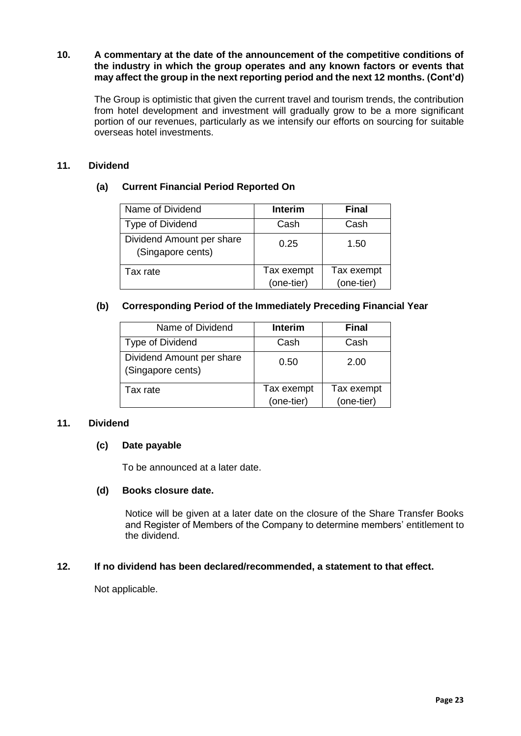### **10. A commentary at the date of the announcement of the competitive conditions of the industry in which the group operates and any known factors or events that may affect the group in the next reporting period and the next 12 months. (Cont'd)**

The Group is optimistic that given the current travel and tourism trends, the contribution from hotel development and investment will gradually grow to be a more significant portion of our revenues, particularly as we intensify our efforts on sourcing for suitable overseas hotel investments.

# **11. Dividend**

# **(a) Current Financial Period Reported On**

| Name of Dividend                               | <b>Interim</b> | <b>Final</b> |
|------------------------------------------------|----------------|--------------|
| Type of Dividend                               | Cash           | Cash         |
| Dividend Amount per share<br>(Singapore cents) | 0.25           | 1.50         |
| Tax rate                                       | Tax exempt     | Tax exempt   |
|                                                | (one-tier)     | (one-tier)   |

# **(b) Corresponding Period of the Immediately Preceding Financial Year**

| Name of Dividend                               | Interim                  | <b>Final</b>             |
|------------------------------------------------|--------------------------|--------------------------|
| Type of Dividend                               | Cash                     | Cash                     |
| Dividend Amount per share<br>(Singapore cents) | 0.50                     | 2.00                     |
| Tax rate                                       | Tax exempt<br>(one-tier) | Tax exempt<br>(one-tier) |

### **11. Dividend**

### **(c) Date payable**

To be announced at a later date.

### **(d) Books closure date.**

Notice will be given at a later date on the closure of the Share Transfer Books and Register of Members of the Company to determine members' entitlement to the dividend.

### **12. If no dividend has been declared/recommended, a statement to that effect.**

Not applicable.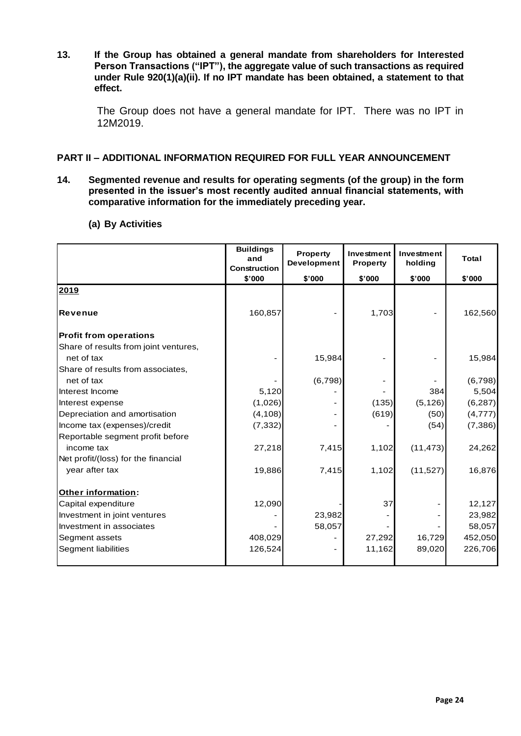**13. If the Group has obtained a general mandate from shareholders for Interested Person Transactions ("IPT"), the aggregate value of such transactions as required under Rule 920(1)(a)(ii). If no IPT mandate has been obtained, a statement to that effect.**

The Group does not have a general mandate for IPT. There was no IPT in 12M2019.

### **PART II – ADDITIONAL INFORMATION REQUIRED FOR FULL YEAR ANNOUNCEMENT**

**14. Segmented revenue and results for operating segments (of the group) in the form presented in the issuer's most recently audited annual financial statements, with comparative information for the immediately preceding year.**

|                                       | <b>Buildings</b><br>and<br><b>Construction</b> | <b>Property</b><br>Development | Investment<br><b>Property</b> | Investment<br>holding | <b>Total</b> |
|---------------------------------------|------------------------------------------------|--------------------------------|-------------------------------|-----------------------|--------------|
|                                       | \$'000                                         | \$'000                         | \$'000                        | \$'000                | \$'000       |
| 2019                                  |                                                |                                |                               |                       |              |
| Revenue                               | 160,857                                        |                                | 1,703                         |                       | 162,560      |
| <b>Profit from operations</b>         |                                                |                                |                               |                       |              |
| Share of results from joint ventures, |                                                |                                |                               |                       |              |
| net of tax                            |                                                | 15,984                         |                               |                       | 15,984       |
| Share of results from associates,     |                                                |                                |                               |                       |              |
| net of tax                            |                                                | (6,798)                        |                               |                       | (6,798)      |
| Interest Income                       | 5,120                                          |                                |                               | 384                   | 5,504        |
| Interest expense                      | (1,026)                                        |                                | (135)                         | (5, 126)              | (6, 287)     |
| Depreciation and amortisation         | (4, 108)                                       |                                | (619)                         | (50)                  | (4,777)      |
| Income tax (expenses)/credit          | (7, 332)                                       |                                |                               | (54)                  | (7, 386)     |
| Reportable segment profit before      |                                                |                                |                               |                       |              |
| income tax                            | 27,218                                         | 7,415                          | 1,102                         | (11, 473)             | 24,262       |
| Net profit/(loss) for the financial   |                                                |                                |                               |                       |              |
| year after tax                        | 19,886                                         | 7,415                          | 1,102                         | (11, 527)             | 16,876       |
| Other information:                    |                                                |                                |                               |                       |              |
| Capital expenditure                   | 12,090                                         |                                | 37                            |                       | 12,127       |
| Investment in joint ventures          |                                                | 23,982                         |                               |                       | 23,982       |
| Investment in associates              |                                                | 58,057                         |                               |                       | 58,057       |
| Segment assets                        | 408,029                                        |                                | 27,292                        | 16,729                | 452,050      |
| Segment liabilities                   | 126,524                                        |                                | 11,162                        | 89,020                | 226,706      |
|                                       |                                                |                                |                               |                       |              |

#### **(a) By Activities**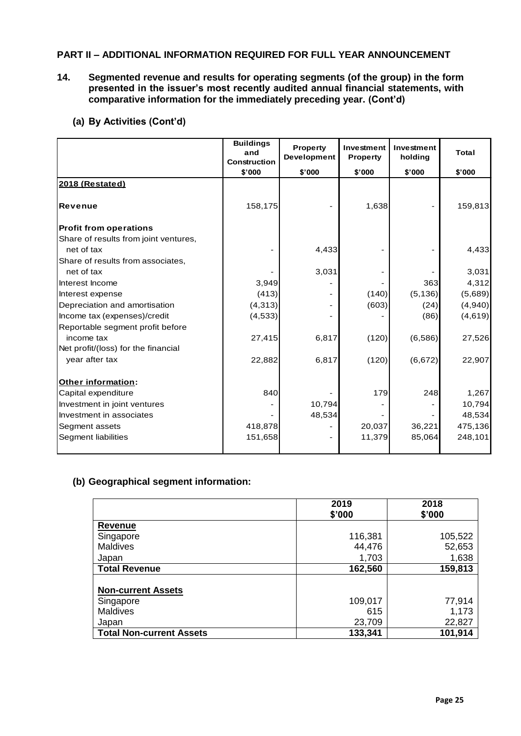# **PART II – ADDITIONAL INFORMATION REQUIRED FOR FULL YEAR ANNOUNCEMENT**

**14. Segmented revenue and results for operating segments (of the group) in the form presented in the issuer's most recently audited annual financial statements, with comparative information for the immediately preceding year. (Cont'd)**

|                                       | <b>Buildings</b><br>and<br>Construction | <b>Property</b><br>Development | Investment<br><b>Property</b> | Investment<br>holding | <b>Total</b> |
|---------------------------------------|-----------------------------------------|--------------------------------|-------------------------------|-----------------------|--------------|
|                                       | \$'000                                  | \$'000                         | \$'000                        | \$'000                | \$'000       |
| 2018 (Restated)                       |                                         |                                |                               |                       |              |
| Revenue                               | 158,175                                 |                                | 1,638                         |                       | 159,813      |
| <b>Profit from operations</b>         |                                         |                                |                               |                       |              |
| Share of results from joint ventures, |                                         |                                |                               |                       |              |
| net of tax                            |                                         | 4,433                          |                               |                       | 4,433        |
| Share of results from associates,     |                                         |                                |                               |                       |              |
| net of tax                            |                                         | 3,031                          |                               |                       | 3,031        |
| Interest Income                       | 3,949                                   |                                |                               | 363                   | 4,312        |
| Interest expense                      | (413)                                   |                                | (140)                         | (5, 136)              | (5,689)      |
| Depreciation and amortisation         | (4, 313)                                |                                | (603)                         | (24)                  | (4,940)      |
| Income tax (expenses)/credit          | (4, 533)                                |                                |                               | (86)                  | (4,619)      |
| Reportable segment profit before      |                                         |                                |                               |                       |              |
| income tax                            | 27,415                                  | 6,817                          | (120)                         | (6,586)               | 27,526       |
| Net profit/(loss) for the financial   |                                         |                                |                               |                       |              |
| year after tax                        | 22,882                                  | 6,817                          | (120)                         | (6,672)               | 22,907       |
| Other information:                    |                                         |                                |                               |                       |              |
| Capital expenditure                   | 840                                     |                                | 179                           | 248                   | 1,267        |
| Investment in joint ventures          |                                         | 10,794                         |                               |                       | 10,794       |
| Investment in associates              |                                         | 48,534                         |                               |                       | 48,534       |
| Segment assets                        | 418,878                                 |                                | 20,037                        | 36,221                | 475,136      |
| Segment liabilities                   | 151,658                                 |                                | 11,379                        | 85,064                | 248,101      |

### **(b) Geographical segment information:**

|                                 | 2019<br>\$'000 | 2018<br>\$'000 |
|---------------------------------|----------------|----------------|
| Revenue                         |                |                |
| Singapore                       | 116,381        | 105,522        |
| Maldives                        | 44,476         | 52,653         |
| Japan                           | 1,703          | 1,638          |
| <b>Total Revenue</b>            | 162,560        | 159,813        |
|                                 |                |                |
| <b>Non-current Assets</b>       |                |                |
| Singapore                       | 109,017        | 77,914         |
| Maldives                        | 615            | 1,173          |
| Japan                           | 23,709         | 22,827         |
| <b>Total Non-current Assets</b> | 133,341        | 101,914        |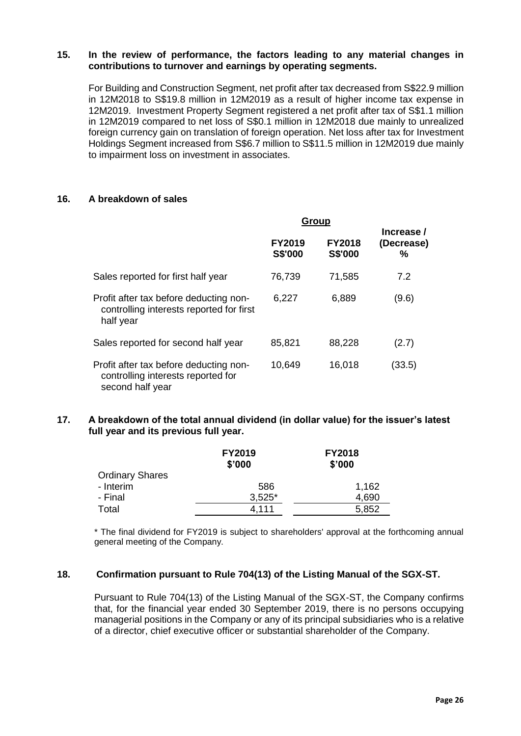#### **15. In the review of performance, the factors leading to any material changes in contributions to turnover and earnings by operating segments.**

For Building and Construction Segment, net profit after tax decreased from S\$22.9 million in 12M2018 to S\$19.8 million in 12M2019 as a result of higher income tax expense in 12M2019. Investment Property Segment registered a net profit after tax of S\$1.1 million in 12M2019 compared to net loss of S\$0.1 million in 12M2018 due mainly to unrealized foreign currency gain on translation of foreign operation. Net loss after tax for Investment Holdings Segment increased from S\$6.7 million to S\$11.5 million in 12M2019 due mainly to impairment loss on investment in associates.

#### **16. A breakdown of sales**

|                                                                                                  | Group                           |                                 |                               |
|--------------------------------------------------------------------------------------------------|---------------------------------|---------------------------------|-------------------------------|
|                                                                                                  | <b>FY2019</b><br><b>S\$'000</b> | <b>FY2018</b><br><b>S\$'000</b> | Increase /<br>(Decrease)<br>℅ |
| Sales reported for first half year                                                               | 76,739                          | 71,585                          | 7.2                           |
| Profit after tax before deducting non-<br>controlling interests reported for first<br>half year  | 6,227                           | 6,889                           | (9.6)                         |
| Sales reported for second half year                                                              | 85,821                          | 88,228                          | (2.7)                         |
| Profit after tax before deducting non-<br>controlling interests reported for<br>second half year | 10,649                          | 16,018                          | (33.5)                        |

#### **17. A breakdown of the total annual dividend (in dollar value) for the issuer's latest full year and its previous full year.**

|                        | <b>FY2019</b><br>\$'000 | <b>FY2018</b><br>\$'000 |  |
|------------------------|-------------------------|-------------------------|--|
| <b>Ordinary Shares</b> |                         |                         |  |
| - Interim              | 586                     | 1,162                   |  |
| - Final                | $3,525*$                | 4,690                   |  |
| Total                  | 4.111                   | 5,852                   |  |

\* The final dividend for FY2019 is subject to shareholders' approval at the forthcoming annual general meeting of the Company.

#### **18. Confirmation pursuant to Rule 704(13) of the Listing Manual of the SGX-ST.**

Pursuant to Rule 704(13) of the Listing Manual of the SGX-ST, the Company confirms that, for the financial year ended 30 September 2019, there is no persons occupying managerial positions in the Company or any of its principal subsidiaries who is a relative of a director, chief executive officer or substantial shareholder of the Company.